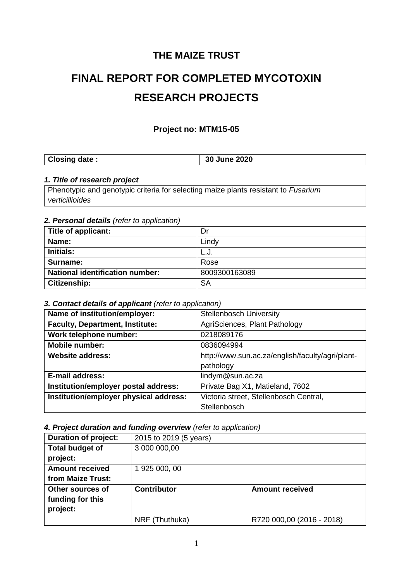# **THE MAIZE TRUST**

# **FINAL REPORT FOR COMPLETED MYCOTOXIN RESEARCH PROJECTS**

#### **Project no: MTM15-05**

| Closing date: | 30 June 2020 |
|---------------|--------------|
|---------------|--------------|

#### *1. Title of research project*

Phenotypic and genotypic criteria for selecting maize plants resistant to *Fusarium verticillioides*

#### *2. Personal details (refer to application)*

| Title of applicant:                    | Dr            |
|----------------------------------------|---------------|
| Name:                                  | Lindy         |
| Initials:                              | L.J.          |
| Surname:                               | Rose          |
| <b>National identification number:</b> | 8009300163089 |
| Citizenship:                           | <b>SA</b>     |

#### *3. Contact details of applicant (refer to application)*

| Name of institution/employer:          | <b>Stellenbosch University</b>                   |
|----------------------------------------|--------------------------------------------------|
| <b>Faculty, Department, Institute:</b> | AgriSciences, Plant Pathology                    |
| Work telephone number:                 | 0218089176                                       |
| <b>Mobile number:</b>                  | 0836094994                                       |
| <b>Website address:</b>                | http://www.sun.ac.za/english/faculty/agri/plant- |
|                                        | pathology                                        |
| <b>E-mail address:</b>                 | lindym@sun.ac.za                                 |
| Institution/employer postal address:   | Private Bag X1, Matieland, 7602                  |
| Institution/employer physical address: | Victoria street, Stellenbosch Central,           |
|                                        | Stellenbosch                                     |

#### *4. Project duration and funding overview (refer to application)*

| <b>Duration of project:</b> | 2015 to 2019 (5 years)                       |                           |  |  |
|-----------------------------|----------------------------------------------|---------------------------|--|--|
| <b>Total budget of</b>      | 3 000 000,00                                 |                           |  |  |
| project:                    |                                              |                           |  |  |
| <b>Amount received</b>      | 1 925 000, 00                                |                           |  |  |
| from Maize Trust:           |                                              |                           |  |  |
| Other sources of            | <b>Contributor</b><br><b>Amount received</b> |                           |  |  |
| funding for this            |                                              |                           |  |  |
| project:                    |                                              |                           |  |  |
|                             | NRF (Thuthuka)                               | R720 000,00 (2016 - 2018) |  |  |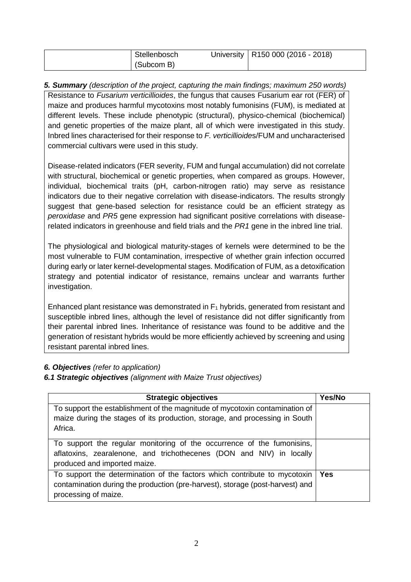| Stellenbosch | University   R150 000 (2016 - 2018) |
|--------------|-------------------------------------|
| (Subcom B)   |                                     |

*5. Summary (description of the project, capturing the main findings; maximum 250 words)* Resistance to *Fusarium verticillioides*, the fungus that causes Fusarium ear rot (FER) of maize and produces harmful mycotoxins most notably fumonisins (FUM), is mediated at different levels. These include phenotypic (structural), physico-chemical (biochemical) and genetic properties of the maize plant, all of which were investigated in this study. Inbred lines characterised for their response to *F. verticillioide*s/FUM and uncharacterised commercial cultivars were used in this study.

Disease-related indicators (FER severity, FUM and fungal accumulation) did not correlate with structural, biochemical or genetic properties, when compared as groups. However, individual, biochemical traits (pH, carbon-nitrogen ratio) may serve as resistance indicators due to their negative correlation with disease-indicators. The results strongly suggest that gene-based selection for resistance could be an efficient strategy as *peroxidase* and *PR5* gene expression had significant positive correlations with diseaserelated indicators in greenhouse and field trials and the *PR1* gene in the inbred line trial.

The physiological and biological maturity-stages of kernels were determined to be the most vulnerable to FUM contamination, irrespective of whether grain infection occurred during early or later kernel-developmental stages. Modification of FUM, as a detoxification strategy and potential indicator of resistance, remains unclear and warrants further investigation.

Enhanced plant resistance was demonstrated in  $F_1$  hybrids, generated from resistant and susceptible inbred lines, although the level of resistance did not differ significantly from their parental inbred lines. Inheritance of resistance was found to be additive and the generation of resistant hybrids would be more efficiently achieved by screening and using resistant parental inbred lines.

#### *6. Objectives (refer to application)*

#### *6.1 Strategic objectives (alignment with Maize Trust objectives)*

| <b>Strategic objectives</b>                                                                                                                                                        | Yes/No |
|------------------------------------------------------------------------------------------------------------------------------------------------------------------------------------|--------|
| To support the establishment of the magnitude of mycotoxin contamination of<br>maize during the stages of its production, storage, and processing in South<br>Africa.              |        |
| To support the regular monitoring of the occurrence of the fumonisins,<br>aflatoxins, zearalenone, and trichothecenes (DON and NIV) in locally<br>produced and imported maize.     |        |
| To support the determination of the factors which contribute to mycotoxin<br>contamination during the production (pre-harvest), storage (post-harvest) and<br>processing of maize. | Yes    |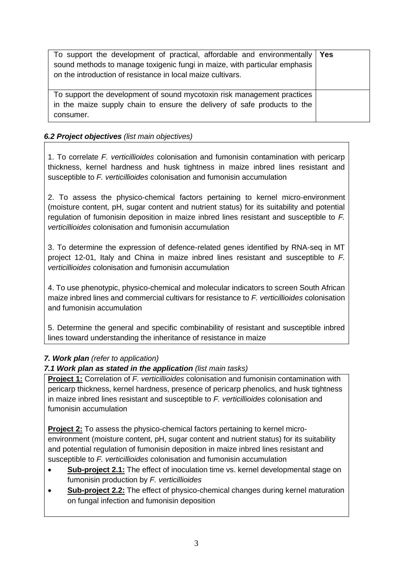| To support the development of practical, affordable and environmentally   Yes<br>sound methods to manage toxigenic fungi in maize, with particular emphasis<br>on the introduction of resistance in local maize cultivars. |  |
|----------------------------------------------------------------------------------------------------------------------------------------------------------------------------------------------------------------------------|--|
| To support the development of sound mycotoxin risk management practices<br>in the maize supply chain to ensure the delivery of safe products to the<br>consumer.                                                           |  |

#### *6.2 Project objectives (list main objectives)*

1. To correlate *F. verticillioides* colonisation and fumonisin contamination with pericarp thickness, kernel hardness and husk tightness in maize inbred lines resistant and susceptible to *F. verticillioides* colonisation and fumonisin accumulation

2. To assess the physico-chemical factors pertaining to kernel micro-environment (moisture content, pH, sugar content and nutrient status) for its suitability and potential regulation of fumonisin deposition in maize inbred lines resistant and susceptible to *F. verticillioides* colonisation and fumonisin accumulation

3. To determine the expression of defence-related genes identified by RNA-seq in MT project 12-01, Italy and China in maize inbred lines resistant and susceptible to *F. verticillioides* colonisation and fumonisin accumulation

4. To use phenotypic, physico-chemical and molecular indicators to screen South African maize inbred lines and commercial cultivars for resistance to *F. verticillioides* colonisation and fumonisin accumulation

5. Determine the general and specific combinability of resistant and susceptible inbred lines toward understanding the inheritance of resistance in maize

#### *7. Work plan (refer to application)*

#### *7.1 Work plan as stated in the application (list main tasks)*

**Project 1:** Correlation of *F. verticillioides* colonisation and fumonisin contamination with pericarp thickness, kernel hardness, presence of pericarp phenolics, and husk tightness in maize inbred lines resistant and susceptible to *F. verticillioides* colonisation and fumonisin accumulation

**Project 2:** To assess the physico-chemical factors pertaining to kernel microenvironment (moisture content, pH, sugar content and nutrient status) for its suitability and potential regulation of fumonisin deposition in maize inbred lines resistant and susceptible to *F. verticillioides* colonisation and fumonisin accumulation

- Sub-project 2.1: The effect of inoculation time vs. kernel developmental stage on fumonisin production by *F. verticillioides*
- **Sub-project 2.2:** The effect of physico-chemical changes during kernel maturation on fungal infection and fumonisin deposition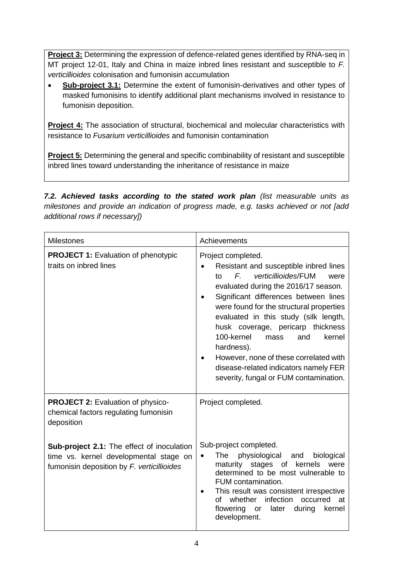**Project 3:** Determining the expression of defence-related genes identified by RNA-seq in MT project 12-01, Italy and China in maize inbred lines resistant and susceptible to *F. verticillioides* colonisation and fumonisin accumulation

 **Sub-project 3.1:** Determine the extent of fumonisin-derivatives and other types of masked fumonisins to identify additional plant mechanisms involved in resistance to fumonisin deposition.

**Project 4:** The association of structural, biochemical and molecular characteristics with resistance to *Fusarium verticillioides* and fumonisin contamination

**Project 5:** Determining the general and specific combinability of resistant and susceptible inbred lines toward understanding the inheritance of resistance in maize

*7.2. Achieved tasks according to the stated work plan (list measurable units as milestones and provide an indication of progress made, e.g. tasks achieved or not [add additional rows if necessary])*

| <b>Milestones</b>                                                                                                                  | Achievements                                                                                                                                                                                                                                                                                                                                                                                                                                                                                                  |
|------------------------------------------------------------------------------------------------------------------------------------|---------------------------------------------------------------------------------------------------------------------------------------------------------------------------------------------------------------------------------------------------------------------------------------------------------------------------------------------------------------------------------------------------------------------------------------------------------------------------------------------------------------|
| <b>PROJECT 1: Evaluation of phenotypic</b><br>traits on inbred lines                                                               | Project completed.<br>Resistant and susceptible inbred lines<br>$F_{\cdot}$<br>verticillioides/FUM<br>t٥<br>were<br>evaluated during the 2016/17 season.<br>Significant differences between lines<br>were found for the structural properties<br>evaluated in this study (silk length,<br>husk coverage, pericarp thickness<br>100-kernel<br>kernel<br>mass<br>and<br>hardness).<br>However, none of these correlated with<br>disease-related indicators namely FER<br>severity, fungal or FUM contamination. |
| <b>PROJECT 2: Evaluation of physico-</b><br>chemical factors regulating fumonisin<br>deposition                                    | Project completed.                                                                                                                                                                                                                                                                                                                                                                                                                                                                                            |
| Sub-project 2.1: The effect of inoculation<br>time vs. kernel developmental stage on<br>fumonisin deposition by F. verticillioides | Sub-project completed.<br>The<br>physiological<br>biological<br>and<br>$\bullet$<br>maturity stages of<br>kernels<br>were<br>determined to be most vulnerable to<br>FUM contamination.<br>This result was consistent irrespective<br>infection<br>whether<br>occurred<br>∩f<br>at<br>flowering or<br>later<br>during<br>kernel<br>development.                                                                                                                                                                |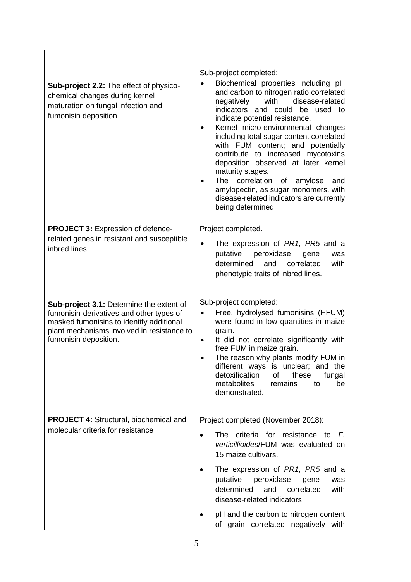| Sub-project 2.2: The effect of physico-<br>chemical changes during kernel<br>maturation on fungal infection and<br>fumonisin deposition                                                                 | Sub-project completed:<br>Biochemical properties including pH<br>and carbon to nitrogen ratio correlated<br>with<br>disease-related<br>negatively<br>indicators and could be used to<br>indicate potential resistance.<br>Kernel micro-environmental changes<br>including total sugar content correlated<br>with FUM content; and potentially<br>contribute to increased mycotoxins<br>deposition observed at later kernel<br>maturity stages.<br>The correlation<br>of amylose<br>and<br>amylopectin, as sugar monomers, with<br>disease-related indicators are currently<br>being determined. |
|---------------------------------------------------------------------------------------------------------------------------------------------------------------------------------------------------------|-------------------------------------------------------------------------------------------------------------------------------------------------------------------------------------------------------------------------------------------------------------------------------------------------------------------------------------------------------------------------------------------------------------------------------------------------------------------------------------------------------------------------------------------------------------------------------------------------|
| <b>PROJECT 3: Expression of defence-</b>                                                                                                                                                                | Project completed.                                                                                                                                                                                                                                                                                                                                                                                                                                                                                                                                                                              |
| related genes in resistant and susceptible<br>inbred lines                                                                                                                                              | The expression of PR1, PR5 and a<br>putative<br>peroxidase<br>gene<br>was<br>determined<br>with<br>and<br>correlated<br>phenotypic traits of inbred lines.                                                                                                                                                                                                                                                                                                                                                                                                                                      |
| Sub-project 3.1: Determine the extent of<br>fumonisin-derivatives and other types of<br>masked fumonisins to identify additional<br>plant mechanisms involved in resistance to<br>fumonisin deposition. | Sub-project completed:<br>Free, hydrolysed fumonisins (HFUM)<br>were found in low quantities in maize<br>grain.<br>It did not correlate significantly with<br>٠<br>free FUM in maize grain.<br>The reason why plants modify FUM in<br>different ways is unclear; and the<br>detoxification<br>of<br>these<br>fungal<br>metabolites<br>remains<br>to<br>be<br>demonstrated.                                                                                                                                                                                                                      |
| <b>PROJECT 4: Structural, biochemical and</b>                                                                                                                                                           | Project completed (November 2018):                                                                                                                                                                                                                                                                                                                                                                                                                                                                                                                                                              |
| molecular criteria for resistance                                                                                                                                                                       | criteria for resistance<br>The<br>F.<br>to<br>$\bullet$<br>verticillioides/FUM was evaluated on<br>15 maize cultivars.                                                                                                                                                                                                                                                                                                                                                                                                                                                                          |
|                                                                                                                                                                                                         | The expression of PR1, PR5 and a<br>$\bullet$<br>putative<br>peroxidase<br>gene<br>was<br>and<br>determined<br>correlated<br>with<br>disease-related indicators.                                                                                                                                                                                                                                                                                                                                                                                                                                |
|                                                                                                                                                                                                         | pH and the carbon to nitrogen content<br>of grain correlated negatively with                                                                                                                                                                                                                                                                                                                                                                                                                                                                                                                    |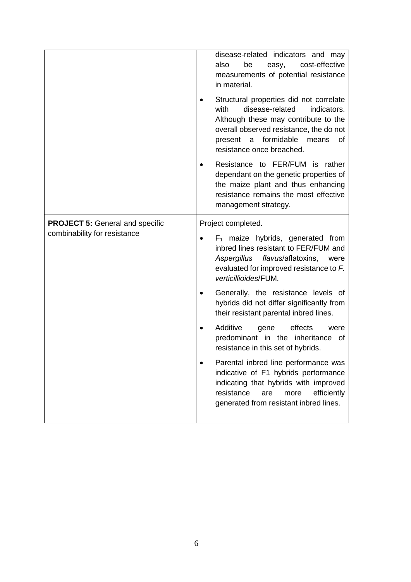|                                        | disease-related indicators and may<br>cost-effective<br>also<br>be<br>easy,<br>measurements of potential resistance<br>in material.<br>Structural properties did not correlate<br>with<br>disease-related<br>indicators.<br>Although these may contribute to the<br>overall observed resistance, the do not<br>formidable<br>present<br>a<br>means<br>0f<br>resistance once breached. |  |
|----------------------------------------|---------------------------------------------------------------------------------------------------------------------------------------------------------------------------------------------------------------------------------------------------------------------------------------------------------------------------------------------------------------------------------------|--|
|                                        | Resistance to FER/FUM is rather<br>dependant on the genetic properties of<br>the maize plant and thus enhancing<br>resistance remains the most effective<br>management strategy.                                                                                                                                                                                                      |  |
| <b>PROJECT 5: General and specific</b> | Project completed.                                                                                                                                                                                                                                                                                                                                                                    |  |
| combinability for resistance           | $F_1$ maize hybrids, generated from<br>inbred lines resistant to FER/FUM and<br>Aspergillus flavus/aflatoxins,<br>were<br>evaluated for improved resistance to F.<br>verticillioides/FUM.                                                                                                                                                                                             |  |
|                                        | Generally, the resistance levels of<br>hybrids did not differ significantly from<br>their resistant parental inbred lines.                                                                                                                                                                                                                                                            |  |
|                                        | Additive<br>effects<br>gene<br>were<br>predominant in the inheritance of<br>resistance in this set of hybrids.                                                                                                                                                                                                                                                                        |  |
|                                        | Parental inbred line performance was<br>$\bullet$<br>indicative of F1 hybrids performance<br>indicating that hybrids with improved<br>resistance<br>efficiently<br>more<br>are<br>generated from resistant inbred lines.                                                                                                                                                              |  |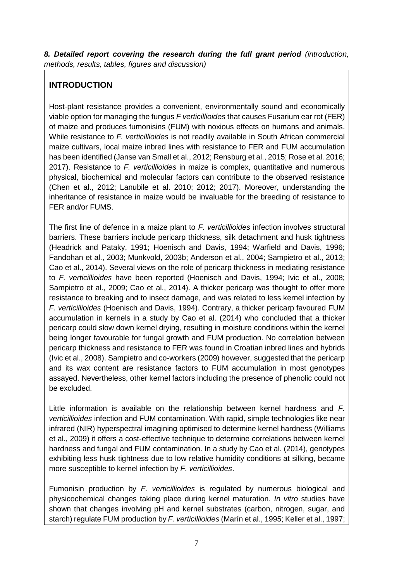*8. Detailed report covering the research during the full grant period (introduction, methods, results, tables, figures and discussion)*

# **INTRODUCTION**

Host-plant resistance provides a convenient, environmentally sound and economically viable option for managing the fungus *F verticillioides* that causes Fusarium ear rot (FER) of maize and produces fumonisins (FUM) with noxious effects on humans and animals. While resistance to *F. verticillioides* is not readily available in South African commercial maize cultivars, local maize inbred lines with resistance to FER and FUM accumulation has been identified (Janse van Small et al., 2012; Rensburg et al., 2015; Rose et al. 2016; 2017). Resistance to *F. verticillioides* in maize is complex, quantitative and numerous physical, biochemical and molecular factors can contribute to the observed resistance (Chen et al., 2012; Lanubile et al. 2010; 2012; 2017). Moreover, understanding the inheritance of resistance in maize would be invaluable for the breeding of resistance to FER and/or FUMS.

The first line of defence in a maize plant to *F. verticillioides* infection involves structural barriers. These barriers include pericarp thickness, silk detachment and husk tightness (Headrick and Pataky, 1991; Hoenisch and Davis, 1994; Warfield and Davis, 1996; Fandohan et al., 2003; Munkvold, 2003b; Anderson et al., 2004; Sampietro et al., 2013; Cao et al., 2014). Several views on the role of pericarp thickness in mediating resistance to *F. verticillioides* have been reported (Hoenisch and Davis, 1994; Ivic et al., 2008; Sampietro et al., 2009; Cao et al., 2014). A thicker pericarp was thought to offer more resistance to breaking and to insect damage, and was related to less kernel infection by *F. verticillioides* (Hoenisch and Davis, 1994). Contrary, a thicker pericarp favoured FUM accumulation in kernels in a study by Cao et al. (2014) who concluded that a thicker pericarp could slow down kernel drying, resulting in moisture conditions within the kernel being longer favourable for fungal growth and FUM production. No correlation between pericarp thickness and resistance to FER was found in Croatian inbred lines and hybrids (Ivic et al., 2008). Sampietro and co-workers (2009) however, suggested that the pericarp and its wax content are resistance factors to FUM accumulation in most genotypes assayed. Nevertheless, other kernel factors including the presence of phenolic could not be excluded.

Little information is available on the relationship between kernel hardness and *F. verticillioides* infection and FUM contamination. With rapid, simple technologies like near infrared (NIR) hyperspectral imagining optimised to determine kernel hardness (Williams et al., 2009) it offers a cost-effective technique to determine correlations between kernel hardness and fungal and FUM contamination. In a study by Cao et al. (2014), genotypes exhibiting less husk tightness due to low relative humidity conditions at silking, became more susceptible to kernel infection by *F. verticillioides*.

Fumonisin production by *F. verticillioides* is regulated by numerous biological and physicochemical changes taking place during kernel maturation. *In vitro* studies have shown that changes involving pH and kernel substrates (carbon, nitrogen, sugar, and starch) regulate FUM production by *F. verticillioides* (Marín et al., 1995; Keller et al., 1997;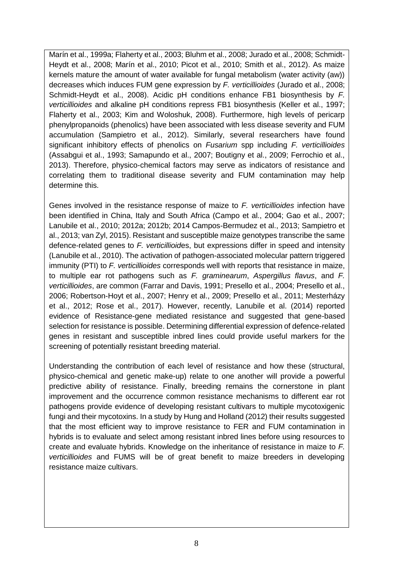Marín et al., 1999a; Flaherty et al., 2003; Bluhm et al., 2008; Jurado et al., 2008; Schmidt-Heydt et al., 2008; Marín et al., 2010; Picot et al., 2010; Smith et al., 2012). As maize kernels mature the amount of water available for fungal metabolism (water activity (aw)) decreases which induces FUM gene expression by *F. verticillioides* (Jurado et al., 2008; Schmidt-Heydt et al., 2008). Acidic pH conditions enhance FB1 biosynthesis by *F. verticillioides* and alkaline pH conditions repress FB1 biosynthesis (Keller et al., 1997; Flaherty et al., 2003; Kim and Woloshuk, 2008). Furthermore, high levels of pericarp phenylpropanoids (phenolics) have been associated with less disease severity and FUM accumulation (Sampietro et al., 2012). Similarly, several researchers have found significant inhibitory effects of phenolics on *Fusarium* spp including *F. verticillioides* (Assabgui et al., 1993; Samapundo et al., 2007; Boutigny et al., 2009; Ferrochio et al., 2013). Therefore, physico-chemical factors may serve as indicators of resistance and correlating them to traditional disease severity and FUM contamination may help determine this.

Genes involved in the resistance response of maize to *F. verticillioides* infection have been identified in China, Italy and South Africa (Campo et al., 2004; Gao et al., 2007; Lanubile et al., 2010; 2012a; 2012b; 2014 Campos-Bermudez et al., 2013; Sampietro et al., 2013; van Zyl, 2015). Resistant and susceptible maize genotypes transcribe the same defence-related genes to *F. verticillioid*es, but expressions differ in speed and intensity (Lanubile et al., 2010). The activation of pathogen-associated molecular pattern triggered immunity (PTI) to *F. verticillioides* corresponds well with reports that resistance in maize, to multiple ear rot pathogens such as *F. graminearum*, *Aspergillus flavus*, and *F. verticillioides*, are common (Farrar and Davis, 1991; Presello et al., 2004; Presello et al., 2006; Robertson-Hoyt et al., 2007; Henry et al., 2009; Presello et al., 2011; Mesterházy et al., 2012; Rose et al., 2017). However, recently, Lanubile et al. (2014) reported evidence of Resistance-gene mediated resistance and suggested that gene-based selection for resistance is possible. Determining differential expression of defence-related genes in resistant and susceptible inbred lines could provide useful markers for the screening of potentially resistant breeding material.

Understanding the contribution of each level of resistance and how these (structural, physico-chemical and genetic make-up) relate to one another will provide a powerful predictive ability of resistance. Finally, breeding remains the cornerstone in plant improvement and the occurrence common resistance mechanisms to different ear rot pathogens provide evidence of developing resistant cultivars to multiple mycotoxigenic fungi and their mycotoxins. In a study by Hung and Holland (2012) their results suggested that the most efficient way to improve resistance to FER and FUM contamination in hybrids is to evaluate and select among resistant inbred lines before using resources to create and evaluate hybrids. Knowledge on the inheritance of resistance in maize to *F. verticillioides* and FUMS will be of great benefit to maize breeders in developing resistance maize cultivars.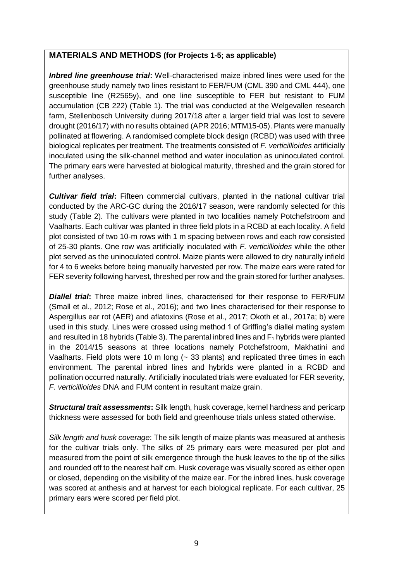#### **MATERIALS AND METHODS (for Projects 1-5; as applicable)**

*Inbred line greenhouse trial***:** Well-characterised maize inbred lines were used for the greenhouse study namely two lines resistant to FER/FUM (CML 390 and CML 444), one susceptible line (R2565y), and one line susceptible to FER but resistant to FUM accumulation (CB 222) (Table 1). The trial was conducted at the Welgevallen research farm, Stellenbosch University during 2017/18 after a larger field trial was lost to severe drought (2016/17) with no results obtained (APR 2016; MTM15-05). Plants were manually pollinated at flowering. A randomised complete block design (RCBD) was used with three biological replicates per treatment. The treatments consisted of *F. verticillioides* artificially inoculated using the silk-channel method and water inoculation as uninoculated control. The primary ears were harvested at biological maturity, threshed and the grain stored for further analyses.

*Cultivar field trial***:** Fifteen commercial cultivars, planted in the national cultivar trial conducted by the ARC-GC during the 2016/17 season, were randomly selected for this study (Table 2). The cultivars were planted in two localities namely Potchefstroom and Vaalharts. Each cultivar was planted in three field plots in a RCBD at each locality. A field plot consisted of two 10-m rows with 1 m spacing between rows and each row consisted of 25-30 plants. One row was artificially inoculated with *F. verticillioides* while the other plot served as the uninoculated control. Maize plants were allowed to dry naturally infield for 4 to 6 weeks before being manually harvested per row. The maize ears were rated for FER severity following harvest, threshed per row and the grain stored for further analyses.

*Diallel trial***:** Three maize inbred lines, characterised for their response to FER/FUM (Small et al., 2012; Rose et al., 2016); and two lines characterised for their response to Aspergillus ear rot (AER) and aflatoxins (Rose et al., 2017; Okoth et al., 2017a; b) were used in this study. Lines were crossed using method 1 of Griffing's diallel mating system and resulted in 18 hybrids (Table 3). The parental inbred lines and  $F_1$  hybrids were planted in the 2014/15 seasons at three locations namely Potchefstroom, Makhatini and Vaalharts. Field plots were 10 m long  $($   $\sim$  33 plants) and replicated three times in each environment. The parental inbred lines and hybrids were planted in a RCBD and pollination occurred naturally. Artificially inoculated trials were evaluated for FER severity, *F. verticillioides* DNA and FUM content in resultant maize grain.

*Structural trait assessments***:** Silk length, husk coverage, kernel hardness and pericarp thickness were assessed for both field and greenhouse trials unless stated otherwise.

*Silk length and husk coverage*: The silk length of maize plants was measured at anthesis for the cultivar trials only. The silks of 25 primary ears were measured per plot and measured from the point of silk emergence through the husk leaves to the tip of the silks and rounded off to the nearest half cm. Husk coverage was visually scored as either open or closed, depending on the visibility of the maize ear. For the inbred lines, husk coverage was scored at anthesis and at harvest for each biological replicate. For each cultivar, 25 primary ears were scored per field plot.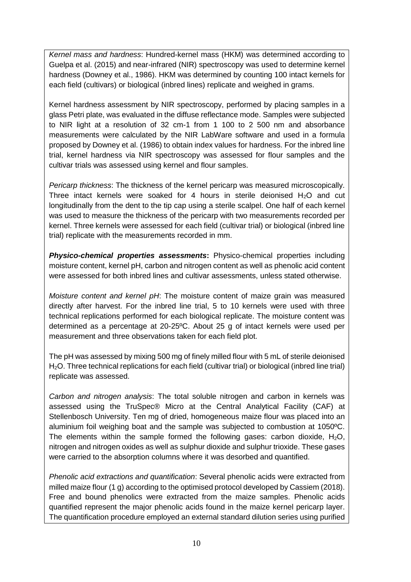*Kernel mass and hardness*: Hundred-kernel mass (HKM) was determined according to Guelpa et al. (2015) and near-infrared (NIR) spectroscopy was used to determine kernel hardness (Downey et al., 1986). HKM was determined by counting 100 intact kernels for each field (cultivars) or biological (inbred lines) replicate and weighed in grams.

Kernel hardness assessment by NIR spectroscopy, performed by placing samples in a glass Petri plate, was evaluated in the diffuse reflectance mode. Samples were subjected to NIR light at a resolution of 32 cm-1 from 1 100 to 2 500 nm and absorbance measurements were calculated by the NIR LabWare software and used in a formula proposed by Downey et al. (1986) to obtain index values for hardness. For the inbred line trial, kernel hardness via NIR spectroscopy was assessed for flour samples and the cultivar trials was assessed using kernel and flour samples.

*Pericarp thickness*: The thickness of the kernel pericarp was measured microscopically. Three intact kernels were soaked for 4 hours in sterile deionised  $H<sub>2</sub>O$  and cut longitudinally from the dent to the tip cap using a sterile scalpel. One half of each kernel was used to measure the thickness of the pericarp with two measurements recorded per kernel. Three kernels were assessed for each field (cultivar trial) or biological (inbred line trial) replicate with the measurements recorded in mm.

*Physico-chemical properties assessments***:** Physico-chemical properties including moisture content, kernel pH, carbon and nitrogen content as well as phenolic acid content were assessed for both inbred lines and cultivar assessments, unless stated otherwise.

*Moisture content and kernel pH*: The moisture content of maize grain was measured directly after harvest. For the inbred line trial, 5 to 10 kernels were used with three technical replications performed for each biological replicate. The moisture content was determined as a percentage at 20-25ºC. About 25 g of intact kernels were used per measurement and three observations taken for each field plot.

The pH was assessed by mixing 500 mg of finely milled flour with 5 mL of sterile deionised H2O. Three technical replications for each field (cultivar trial) or biological (inbred line trial) replicate was assessed.

*Carbon and nitrogen analysis*: The total soluble nitrogen and carbon in kernels was assessed using the TruSpec® Micro at the Central Analytical Facility (CAF) at Stellenbosch University. Ten mg of dried, homogeneous maize flour was placed into an aluminium foil weighing boat and the sample was subjected to combustion at 1050ºC. The elements within the sample formed the following gases: carbon dioxide,  $H_2O$ , nitrogen and nitrogen oxides as well as sulphur dioxide and sulphur trioxide. These gases were carried to the absorption columns where it was desorbed and quantified.

*Phenolic acid extractions and quantification*: Several phenolic acids were extracted from milled maize flour (1 g) according to the optimised protocol developed by Cassiem (2018). Free and bound phenolics were extracted from the maize samples. Phenolic acids quantified represent the major phenolic acids found in the maize kernel pericarp layer. The quantification procedure employed an external standard dilution series using purified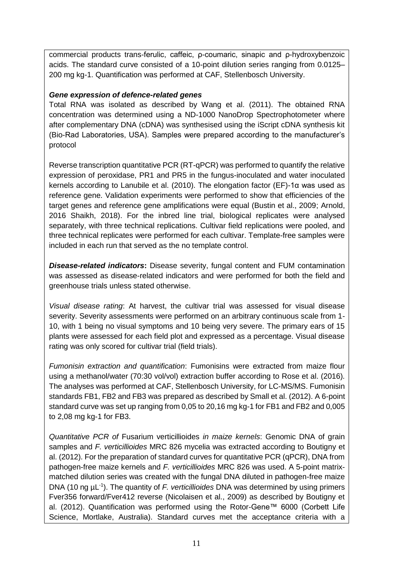commercial products trans-ferulic, caffeic, ρ-coumaric, sinapic and ρ-hydroxybenzoic acids. The standard curve consisted of a 10-point dilution series ranging from 0.0125– 200 mg kg-1. Quantification was performed at CAF, Stellenbosch University.

#### *Gene expression of defence-related genes*

Total RNA was isolated as described by Wang et al. (2011). The obtained RNA concentration was determined using a ND-1000 NanoDrop Spectrophotometer where after complementary DNA (cDNA) was synthesised using the iScript cDNA synthesis kit (Bio-Rad Laboratories, USA). Samples were prepared according to the manufacturer's protocol

Reverse transcription quantitative PCR (RT-qPCR) was performed to quantify the relative expression of peroxidase, PR1 and PR5 in the fungus-inoculated and water inoculated kernels according to Lanubile et al. (2010). The elongation factor (EF)-1α was used as reference gene. Validation experiments were performed to show that efficiencies of the target genes and reference gene amplifications were equal (Bustin et al., 2009; Arnold, 2016 Shaikh, 2018). For the inbred line trial, biological replicates were analysed separately, with three technical replications. Cultivar field replications were pooled, and three technical replicates were performed for each cultivar. Template-free samples were included in each run that served as the no template control.

*Disease-related indicators***:** Disease severity, fungal content and FUM contamination was assessed as disease-related indicators and were performed for both the field and greenhouse trials unless stated otherwise.

*Visual disease rating*: At harvest, the cultivar trial was assessed for visual disease severity. Severity assessments were performed on an arbitrary continuous scale from 1- 10, with 1 being no visual symptoms and 10 being very severe. The primary ears of 15 plants were assessed for each field plot and expressed as a percentage. Visual disease rating was only scored for cultivar trial (field trials).

*Fumonisin extraction and quantification*: Fumonisins were extracted from maize flour using a methanol/water (70:30 vol/vol) extraction buffer according to Rose et al. (2016). The analyses was performed at CAF, Stellenbosch University, for LC-MS/MS. Fumonisin standards FB1, FB2 and FB3 was prepared as described by Small et al. (2012). A 6-point standard curve was set up ranging from 0,05 to 20,16 mg kg-1 for FB1 and FB2 and 0,005 to 2,08 mg kg-1 for FB3.

*Quantitative PCR of* Fusarium verticillioides *in maize kernels*: Genomic DNA of grain samples and *F. verticillioides* MRC 826 mycelia was extracted according to Boutigny et al. (2012). For the preparation of standard curves for quantitative PCR (qPCR), DNA from pathogen-free maize kernels and *F. verticillioides* MRC 826 was used. A 5-point matrixmatched dilution series was created with the fungal DNA diluted in pathogen-free maize DNA (10 ng  $\mu$ L<sup>-1</sup>). The quantity of *F. verticillioides* DNA was determined by using primers Fver356 forward/Fver412 reverse (Nicolaisen et al., 2009) as described by Boutigny et al. (2012). Quantification was performed using the Rotor-Gene™ 6000 (Corbett Life Science, Mortlake, Australia). Standard curves met the acceptance criteria with a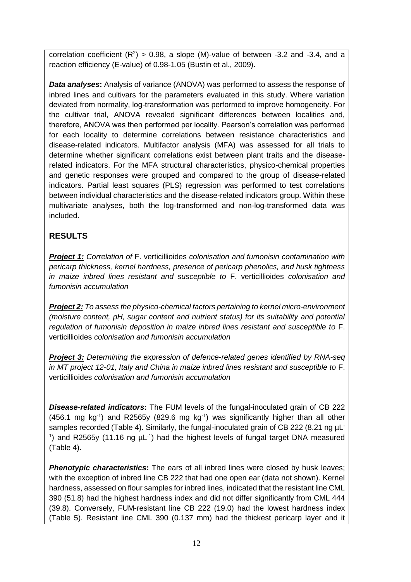correlation coefficient  $(R^2) > 0.98$ , a slope (M)-value of between -3.2 and -3.4, and a reaction efficiency (E-value) of 0.98-1.05 (Bustin et al., 2009).

*Data analyses:* Analysis of variance (ANOVA) was performed to assess the response of inbred lines and cultivars for the parameters evaluated in this study. Where variation deviated from normality, log-transformation was performed to improve homogeneity. For the cultivar trial, ANOVA revealed significant differences between localities and, therefore, ANOVA was then performed per locality. Pearson's correlation was performed for each locality to determine correlations between resistance characteristics and disease-related indicators. Multifactor analysis (MFA) was assessed for all trials to determine whether significant correlations exist between plant traits and the diseaserelated indicators. For the MFA structural characteristics, physico-chemical properties and genetic responses were grouped and compared to the group of disease-related indicators. Partial least squares (PLS) regression was performed to test correlations between individual characteristics and the disease-related indicators group. Within these multivariate analyses, both the log-transformed and non-log-transformed data was included.

# **RESULTS**

*Project 1: Correlation of* F. verticillioides *colonisation and fumonisin contamination with pericarp thickness, kernel hardness, presence of pericarp phenolics, and husk tightness in maize inbred lines resistant and susceptible to* F. verticillioides *colonisation and fumonisin accumulation* 

*Project 2: To assess the physico-chemical factors pertaining to kernel micro-environment (moisture content, pH, sugar content and nutrient status) for its suitability and potential regulation of fumonisin deposition in maize inbred lines resistant and susceptible to* F. verticillioides *colonisation and fumonisin accumulation*

*Project 3: Determining the expression of defence-related genes identified by RNA-seq in MT project 12-01, Italy and China in maize inbred lines resistant and susceptible to* F. verticillioides *colonisation and fumonisin accumulation*

*Disease-related indicators***:** The FUM levels of the fungal-inoculated grain of CB 222  $(456.1 \text{ mg kg}^{-1})$  and R2565y  $(829.6 \text{ mg kg}^{-1})$  was significantly higher than all other samples recorded (Table 4). Similarly, the fungal-inoculated grain of CB 222 (8.21 ng µL<sup>-</sup> <sup>1</sup>) and R2565y (11.16 ng  $\mu$ L<sup>-1</sup>) had the highest levels of fungal target DNA measured (Table 4).

**Phenotypic characteristics:** The ears of all inbred lines were closed by husk leaves; with the exception of inbred line CB 222 that had one open ear (data not shown). Kernel hardness, assessed on flour samples for inbred lines, indicated that the resistant line CML 390 (51.8) had the highest hardness index and did not differ significantly from CML 444 (39.8). Conversely, FUM-resistant line CB 222 (19.0) had the lowest hardness index (Table 5). Resistant line CML 390 (0.137 mm) had the thickest pericarp layer and it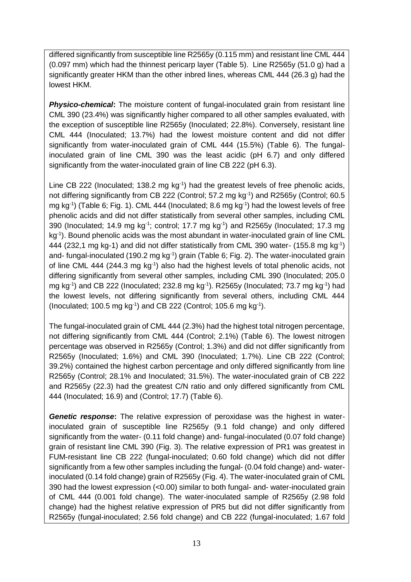differed significantly from susceptible line R2565y (0.115 mm) and resistant line CML 444 (0.097 mm) which had the thinnest pericarp layer (Table 5). Line R2565y (51.0 g) had a significantly greater HKM than the other inbred lines, whereas CML 444 (26.3 g) had the lowest HKM.

*Physico-chemical*: The moisture content of fungal-inoculated grain from resistant line CML 390 (23.4%) was significantly higher compared to all other samples evaluated, with the exception of susceptible line R2565y (Inoculated; 22.8%). Conversely, resistant line CML 444 (Inoculated; 13.7%) had the lowest moisture content and did not differ significantly from water-inoculated grain of CML 444 (15.5%) (Table 6). The fungalinoculated grain of line CML 390 was the least acidic (pH 6.7) and only differed significantly from the water-inoculated grain of line CB 222 (pH 6.3).

Line CB 222 (Inoculated; 138.2 mg kg<sup>-1</sup>) had the greatest levels of free phenolic acids, not differing significantly from CB 222 (Control; 57.2 mg kg<sup>-1</sup>) and R2565y (Control; 60.5 mg kg<sup>-1</sup>) (Table 6; Fig. 1). CML 444 (Inoculated; 8.6 mg kg<sup>-1</sup>) had the lowest levels of free phenolic acids and did not differ statistically from several other samples, including CML 390 (Inoculated; 14.9 mg kg $^{-1}$ ; control; 17.7 mg kg $^{-1}$ ) and R2565y (Inoculated; 17.3 mg kg<sup>-1</sup>). Bound phenolic acids was the most abundant in water-inoculated grain of line CML 444 (232,1 mg kg-1) and did not differ statistically from CML 390 water- (155.8 mg kg<sup>-1</sup>) and- fungal-inoculated (190.2 mg kg<sup>-1</sup>) grain (Table 6; Fig. 2). The water-inoculated grain of line CML 444 (244.3 mg kg<sup>-1</sup>) also had the highest levels of total phenolic acids, not differing significantly from several other samples, including CML 390 (Inoculated; 205.0 mg kg<sup>-1</sup>) and CB 222 (Inoculated; 232.8 mg kg<sup>-1</sup>). R2565y (Inoculated; 73.7 mg kg<sup>-1</sup>) had the lowest levels, not differing significantly from several others, including CML 444 (Inoculated; 100.5 mg kg $^{-1}$ ) and CB 222 (Control; 105.6 mg kg $^{-1}$ ).

The fungal-inoculated grain of CML 444 (2.3%) had the highest total nitrogen percentage, not differing significantly from CML 444 (Control; 2.1%) (Table 6). The lowest nitrogen percentage was observed in R2565y (Control; 1.3%) and did not differ significantly from R2565y (Inoculated; 1.6%) and CML 390 (Inoculated; 1.7%). Line CB 222 (Control; 39.2%) contained the highest carbon percentage and only differed significantly from line R2565y (Control; 28.1% and Inoculated; 31.5%). The water-inoculated grain of CB 222 and R2565y (22.3) had the greatest C/N ratio and only differed significantly from CML 444 (Inoculated; 16.9) and (Control; 17.7) (Table 6).

*Genetic response***:** The relative expression of peroxidase was the highest in waterinoculated grain of susceptible line R2565y (9.1 fold change) and only differed significantly from the water- (0.11 fold change) and- fungal-inoculated (0.07 fold change) grain of resistant line CML 390 (Fig. 3). The relative expression of PR1 was greatest in FUM-resistant line CB 222 (fungal-inoculated; 0.60 fold change) which did not differ significantly from a few other samples including the fungal- (0.04 fold change) and- waterinoculated (0.14 fold change) grain of R2565y (Fig. 4). The water-inoculated grain of CML 390 had the lowest expression (<0.00) similar to both fungal- and- water-inoculated grain of CML 444 (0.001 fold change). The water-inoculated sample of R2565y (2.98 fold change) had the highest relative expression of PR5 but did not differ significantly from R2565y (fungal-inoculated; 2.56 fold change) and CB 222 (fungal-inoculated; 1.67 fold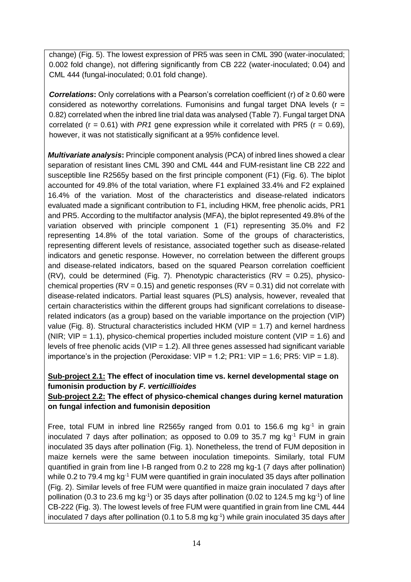change) (Fig. 5). The lowest expression of PR5 was seen in CML 390 (water-inoculated; 0.002 fold change), not differing significantly from CB 222 (water-inoculated; 0.04) and CML 444 (fungal-inoculated; 0.01 fold change).

*Correlations***:** Only correlations with a Pearson's correlation coefficient (r) of ≥ 0.60 were considered as noteworthy correlations. Fumonisins and fungal target DNA levels ( $r =$ 0.82) correlated when the inbred line trial data was analysed (Table 7). Fungal target DNA correlated ( $r = 0.61$ ) with *PR1* gene expression while it correlated with PR5 ( $r = 0.69$ ), however, it was not statistically significant at a 95% confidence level.

*Multivariate analysis***:** Principle component analysis (PCA) of inbred lines showed a clear separation of resistant lines CML 390 and CML 444 and FUM-resistant line CB 222 and susceptible line R2565y based on the first principle component (F1) (Fig. 6). The biplot accounted for 49.8% of the total variation, where F1 explained 33.4% and F2 explained 16.4% of the variation. Most of the characteristics and disease-related indicators evaluated made a significant contribution to F1, including HKM, free phenolic acids, PR1 and PR5. According to the multifactor analysis (MFA), the biplot represented 49.8% of the variation observed with principle component 1 (F1) representing 35.0% and F2 representing 14.8% of the total variation. Some of the groups of characteristics, representing different levels of resistance, associated together such as disease-related indicators and genetic response. However, no correlation between the different groups and disease-related indicators, based on the squared Pearson correlation coefficient (RV), could be determined (Fig. 7). Phenotypic characteristics (RV =  $0.25$ ), physicochemical properties ( $RV = 0.15$ ) and genetic responses ( $RV = 0.31$ ) did not correlate with disease-related indicators. Partial least squares (PLS) analysis, however, revealed that certain characteristics within the different groups had significant correlations to diseaserelated indicators (as a group) based on the variable importance on the projection (VIP) value (Fig. 8). Structural characteristics included HKM (VIP = 1.7) and kernel hardness (NIR;  $VIP = 1.1$ ), physico-chemical properties included moisture content (VIP = 1.6) and levels of free phenolic acids (VIP =  $1.2$ ). All three genes assessed had significant variable importance's in the projection (Peroxidase:  $VIP = 1.2$ ; PR1:  $VIP = 1.6$ ; PR5:  $VIP = 1.8$ ).

#### **Sub-project 2.1: The effect of inoculation time vs. kernel developmental stage on fumonisin production by** *F. verticillioides*

#### **Sub-project 2.2: The effect of physico-chemical changes during kernel maturation on fungal infection and fumonisin deposition**

Free, total FUM in inbred line R2565y ranged from 0.01 to 156.6 mg  $kg<sup>-1</sup>$  in grain inoculated 7 days after pollination; as opposed to 0.09 to 35.7 mg  $kq^{-1}$  FUM in grain inoculated 35 days after pollination (Fig. 1). Nonetheless, the trend of FUM deposition in maize kernels were the same between inoculation timepoints. Similarly, total FUM quantified in grain from line I-B ranged from 0.2 to 228 mg kg-1 (7 days after pollination) while 0.2 to 79.4 mg kg<sup>-1</sup> FUM were quantified in grain inoculated 35 days after pollination (Fig. 2). Similar levels of free FUM were quantified in maize grain inoculated 7 days after pollination (0.3 to 23.6 mg kg<sup>-1</sup>) or 35 days after pollination (0.02 to 124.5 mg kg<sup>-1</sup>) of line CB-222 (Fig. 3). The lowest levels of free FUM were quantified in grain from line CML 444 inoculated 7 days after pollination (0.1 to 5.8 mg  $kg^{-1}$ ) while grain inoculated 35 days after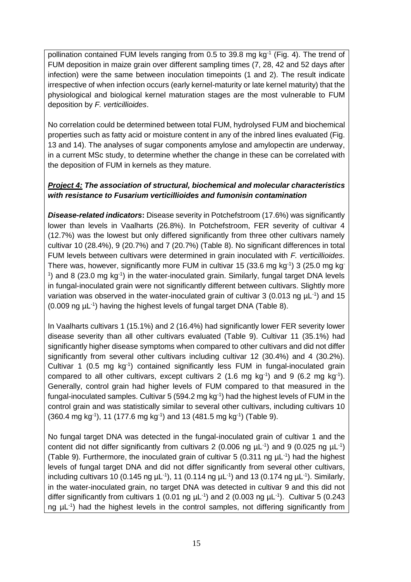pollination contained FUM levels ranging from 0.5 to 39.8 mg  $kg<sup>-1</sup>$  (Fig. 4). The trend of FUM deposition in maize grain over different sampling times (7, 28, 42 and 52 days after infection) were the same between inoculation timepoints (1 and 2). The result indicate irrespective of when infection occurs (early kernel-maturity or late kernel maturity) that the physiological and biological kernel maturation stages are the most vulnerable to FUM deposition by *F. verticillioides*.

No correlation could be determined between total FUM, hydrolysed FUM and biochemical properties such as fatty acid or moisture content in any of the inbred lines evaluated (Fig. 13 and 14). The analyses of sugar components amylose and amylopectin are underway, in a current MSc study, to determine whether the change in these can be correlated with the deposition of FUM in kernels as they mature.

#### *Project 4: The association of structural, biochemical and molecular characteristics with resistance to Fusarium verticillioides and fumonisin contamination*

*Disease-related indicators***:** Disease severity in Potchefstroom (17.6%) was significantly lower than levels in Vaalharts (26.8%). In Potchefstroom, FER severity of cultivar 4 (12.7%) was the lowest but only differed significantly from three other cultivars namely cultivar 10 (28.4%), 9 (20.7%) and 7 (20.7%) (Table 8). No significant differences in total FUM levels between cultivars were determined in grain inoculated with *F. verticillioides*. There was, however, significantly more FUM in cultivar 15 (33.6 mg kg<sup>-1</sup>) 3 (25.0 mg kg<sup>-1</sup>)  $1$ ) and 8 (23.0 mg kg $1$ ) in the water-inoculated grain. Similarly, fungal target DNA levels in fungal-inoculated grain were not significantly different between cultivars. Slightly more variation was observed in the water-inoculated grain of cultivar 3 (0.013 ng  $\mu$ L<sup>-1</sup>) and 15 (0.009 ng µL-1 ) having the highest levels of fungal target DNA (Table 8).

In Vaalharts cultivars 1 (15.1%) and 2 (16.4%) had significantly lower FER severity lower disease severity than all other cultivars evaluated (Table 9). Cultivar 11 (35.1%) had significantly higher disease symptoms when compared to other cultivars and did not differ significantly from several other cultivars including cultivar 12 (30.4%) and 4 (30.2%). Cultivar 1 (0.5 mg kg<sup>-1</sup>) contained significantly less FUM in fungal-inoculated grain compared to all other cultivars, except cultivars 2 (1.6 mg kg<sup>-1</sup>) and 9 (6.2 mg kg<sup>-1</sup>). Generally, control grain had higher levels of FUM compared to that measured in the fungal-inoculated samples. Cultivar 5 (594.2 mg kg<sup>-1</sup>) had the highest levels of FUM in the control grain and was statistically similar to several other cultivars, including cultivars 10  $(360.4 \text{ mg kg}^{-1})$ , 11  $(177.6 \text{ mg kg}^{-1})$  and 13  $(481.5 \text{ mg kg}^{-1})$  (Table 9).

No fungal target DNA was detected in the fungal-inoculated grain of cultivar 1 and the content did not differ significantly from cultivars 2 (0.006 ng  $\mu$ L<sup>-1</sup>) and 9 (0.025 ng  $\mu$ L<sup>-1</sup>) (Table 9). Furthermore, the inoculated grain of cultivar 5 (0.311 ng  $\mu$ L<sup>-1</sup>) had the highest levels of fungal target DNA and did not differ significantly from several other cultivars, including cultivars 10 (0.145 ng  $\mu$ L<sup>-1</sup>), 11 (0.114 ng  $\mu$ L<sup>-1</sup>) and 13 (0.174 ng  $\mu$ L<sup>-1</sup>). Similarly, in the water-inoculated grain, no target DNA was detected in cultivar 9 and this did not differ significantly from cultivars 1 (0.01 ng  $\mu$ L<sup>-1</sup>) and 2 (0.003 ng  $\mu$ L<sup>-1</sup>). Cultivar 5 (0.243 ng  $\mu$ L<sup>-1</sup>) had the highest levels in the control samples, not differing significantly from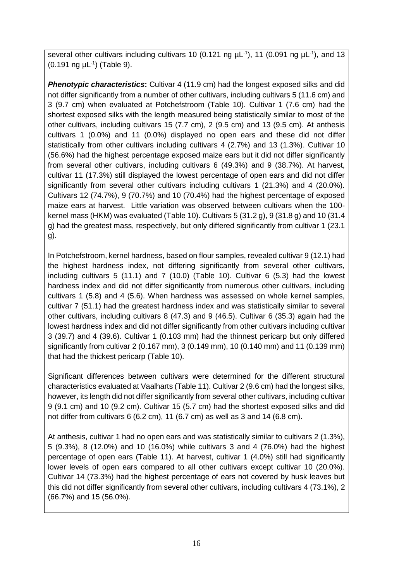several other cultivars including cultivars 10 (0.121 ng  $\mu$ L<sup>-1</sup>), 11 (0.091 ng  $\mu$ L<sup>-1</sup>), and 13 (0.191 ng µL-1 ) (Table 9).

**Phenotypic characteristics:** Cultivar 4 (11.9 cm) had the longest exposed silks and did not differ significantly from a number of other cultivars, including cultivars 5 (11.6 cm) and 3 (9.7 cm) when evaluated at Potchefstroom (Table 10). Cultivar 1 (7.6 cm) had the shortest exposed silks with the length measured being statistically similar to most of the other cultivars, including cultivars 15 (7.7 cm), 2 (9.5 cm) and 13 (9.5 cm). At anthesis cultivars 1 (0.0%) and 11 (0.0%) displayed no open ears and these did not differ statistically from other cultivars including cultivars 4 (2.7%) and 13 (1.3%). Cultivar 10 (56.6%) had the highest percentage exposed maize ears but it did not differ significantly from several other cultivars, including cultivars 6 (49.3%) and 9 (38.7%). At harvest, cultivar 11 (17.3%) still displayed the lowest percentage of open ears and did not differ significantly from several other cultivars including cultivars 1 (21.3%) and 4 (20.0%). Cultivars 12 (74.7%), 9 (70.7%) and 10 (70.4%) had the highest percentage of exposed maize ears at harvest. Little variation was observed between cultivars when the 100 kernel mass (HKM) was evaluated (Table 10). Cultivars 5 (31.2 g), 9 (31.8 g) and 10 (31.4 g) had the greatest mass, respectively, but only differed significantly from cultivar 1 (23.1 g).

In Potchefstroom, kernel hardness, based on flour samples, revealed cultivar 9 (12.1) had the highest hardness index, not differing significantly from several other cultivars, including cultivars 5 (11.1) and 7 (10.0) (Table 10). Cultivar 6 (5.3) had the lowest hardness index and did not differ significantly from numerous other cultivars, including cultivars 1 (5.8) and 4 (5.6). When hardness was assessed on whole kernel samples, cultivar 7 (51.1) had the greatest hardness index and was statistically similar to several other cultivars, including cultivars 8 (47.3) and 9 (46.5). Cultivar 6 (35.3) again had the lowest hardness index and did not differ significantly from other cultivars including cultivar 3 (39.7) and 4 (39.6). Cultivar 1 (0.103 mm) had the thinnest pericarp but only differed significantly from cultivar 2 (0.167 mm), 3 (0.149 mm), 10 (0.140 mm) and 11 (0.139 mm) that had the thickest pericarp (Table 10).

Significant differences between cultivars were determined for the different structural characteristics evaluated at Vaalharts (Table 11). Cultivar 2 (9.6 cm) had the longest silks, however, its length did not differ significantly from several other cultivars, including cultivar 9 (9.1 cm) and 10 (9.2 cm). Cultivar 15 (5.7 cm) had the shortest exposed silks and did not differ from cultivars 6 (6.2 cm), 11 (6.7 cm) as well as 3 and 14 (6.8 cm).

At anthesis, cultivar 1 had no open ears and was statistically similar to cultivars 2 (1.3%), 5 (9.3%), 8 (12.0%) and 10 (16.0%) while cultivars 3 and 4 (76.0%) had the highest percentage of open ears (Table 11). At harvest, cultivar 1 (4.0%) still had significantly lower levels of open ears compared to all other cultivars except cultivar 10 (20.0%). Cultivar 14 (73.3%) had the highest percentage of ears not covered by husk leaves but this did not differ significantly from several other cultivars, including cultivars 4 (73.1%), 2 (66.7%) and 15 (56.0%).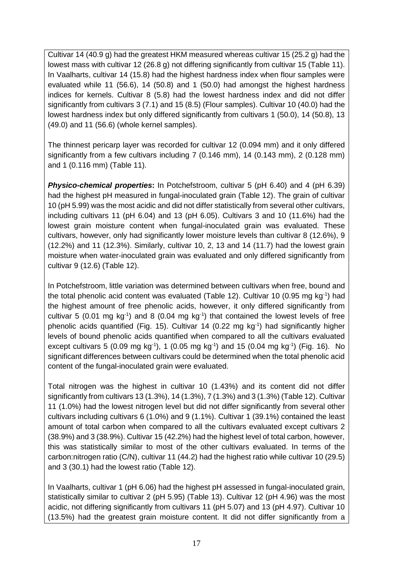Cultivar 14 (40.9 g) had the greatest HKM measured whereas cultivar 15 (25.2 g) had the lowest mass with cultivar 12 (26.8 g) not differing significantly from cultivar 15 (Table 11). In Vaalharts, cultivar 14 (15.8) had the highest hardness index when flour samples were evaluated while 11 (56.6), 14 (50.8) and 1 (50.0) had amongst the highest hardness indices for kernels. Cultivar 8 (5.8) had the lowest hardness index and did not differ significantly from cultivars 3 (7.1) and 15 (8.5) (Flour samples). Cultivar 10 (40.0) had the lowest hardness index but only differed significantly from cultivars 1 (50.0), 14 (50.8), 13 (49.0) and 11 (56.6) (whole kernel samples).

The thinnest pericarp layer was recorded for cultivar 12 (0.094 mm) and it only differed significantly from a few cultivars including 7 (0.146 mm), 14 (0.143 mm), 2 (0.128 mm) and 1 (0.116 mm) (Table 11).

**Physico-chemical properties:** In Potchefstroom, cultivar 5 (pH 6.40) and 4 (pH 6.39) had the highest pH measured in fungal-inoculated grain (Table 12). The grain of cultivar 10 (pH 5.99) was the most acidic and did not differ statistically from several other cultivars, including cultivars 11 (pH 6.04) and 13 (pH 6.05). Cultivars 3 and 10 (11.6%) had the lowest grain moisture content when fungal-inoculated grain was evaluated. These cultivars, however, only had significantly lower moisture levels than cultivar 8 (12.6%), 9 (12.2%) and 11 (12.3%). Similarly, cultivar 10, 2, 13 and 14 (11.7) had the lowest grain moisture when water-inoculated grain was evaluated and only differed significantly from cultivar 9 (12.6) (Table 12).

In Potchefstroom, little variation was determined between cultivars when free, bound and the total phenolic acid content was evaluated (Table 12). Cultivar 10 (0.95 mg kg<sup>-1</sup>) had the highest amount of free phenolic acids, however, it only differed significantly from cultivar 5 (0.01 mg  $kg^{-1}$ ) and 8 (0.04 mg  $kg^{-1}$ ) that contained the lowest levels of free phenolic acids quantified (Fig. 15). Cultivar 14 (0.22 mg kg-1 ) had significantly higher levels of bound phenolic acids quantified when compared to all the cultivars evaluated except cultivars 5 (0.09 mg kg<sup>-1</sup>), 1 (0.05 mg kg<sup>-1</sup>) and 15 (0.04 mg kg<sup>-1</sup>) (Fig. 16). No significant differences between cultivars could be determined when the total phenolic acid content of the fungal-inoculated grain were evaluated.

Total nitrogen was the highest in cultivar 10 (1.43%) and its content did not differ significantly from cultivars 13 (1.3%), 14 (1.3%), 7 (1.3%) and 3 (1.3%) (Table 12). Cultivar 11 (1.0%) had the lowest nitrogen level but did not differ significantly from several other cultivars including cultivars 6 (1.0%) and 9 (1.1%). Cultivar 1 (39.1%) contained the least amount of total carbon when compared to all the cultivars evaluated except cultivars 2 (38.9%) and 3 (38.9%). Cultivar 15 (42.2%) had the highest level of total carbon, however, this was statistically similar to most of the other cultivars evaluated. In terms of the carbon:nitrogen ratio (C/N), cultivar 11 (44.2) had the highest ratio while cultivar 10 (29.5) and 3 (30.1) had the lowest ratio (Table 12).

In Vaalharts, cultivar 1 (pH 6.06) had the highest pH assessed in fungal-inoculated grain, statistically similar to cultivar 2 (pH 5.95) (Table 13). Cultivar 12 (pH 4.96) was the most acidic, not differing significantly from cultivars 11 (pH 5.07) and 13 (pH 4.97). Cultivar 10 (13.5%) had the greatest grain moisture content. It did not differ significantly from a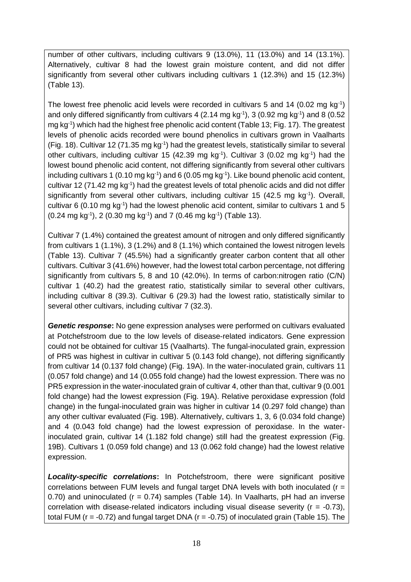number of other cultivars, including cultivars 9 (13.0%), 11 (13.0%) and 14 (13.1%). Alternatively, cultivar 8 had the lowest grain moisture content, and did not differ significantly from several other cultivars including cultivars 1 (12.3%) and 15 (12.3%) (Table 13).

The lowest free phenolic acid levels were recorded in cultivars 5 and 14 (0.02 mg  $kg^{-1}$ ) and only differed significantly from cultivars 4 (2.14 mg kg $^{-1}$ ), 3 (0.92 mg kg $^{-1}$ ) and 8 (0.52 mg kg-1 ) which had the highest free phenolic acid content (Table 13; Fig. 17). The greatest levels of phenolic acids recorded were bound phenolics in cultivars grown in Vaalharts (Fig. 18). Cultivar 12 (71.35 mg kg<sup>-1</sup>) had the greatest levels, statistically similar to several other cultivars, including cultivar 15 (42.39 mg kg<sup>-1</sup>). Cultivar 3 (0.02 mg kg<sup>-1</sup>) had the lowest bound phenolic acid content, not differing significantly from several other cultivars including cultivars 1 (0.10 mg kg $^{-1}$ ) and 6 (0.05 mg kg $^{-1}$ ). Like bound phenolic acid content, cultivar 12 (71.42 mg kg<sup>-1</sup>) had the greatest levels of total phenolic acids and did not differ significantly from several other cultivars, including cultivar 15 (42.5 mg  $kg^{-1}$ ). Overall, cultivar 6 (0.10 mg  $kg^{-1}$ ) had the lowest phenolic acid content, similar to cultivars 1 and 5  $(0.24 \text{ mg kg}^{-1})$ , 2  $(0.30 \text{ mg kg}^{-1})$  and 7  $(0.46 \text{ mg kg}^{-1})$  (Table 13).

Cultivar 7 (1.4%) contained the greatest amount of nitrogen and only differed significantly from cultivars 1 (1.1%), 3 (1.2%) and 8 (1.1%) which contained the lowest nitrogen levels (Table 13). Cultivar 7 (45.5%) had a significantly greater carbon content that all other cultivars. Cultivar 3 (41.6%) however, had the lowest total carbon percentage, not differing significantly from cultivars 5, 8 and 10 (42.0%). In terms of carbon:nitrogen ratio (C/N) cultivar 1 (40.2) had the greatest ratio, statistically similar to several other cultivars, including cultivar 8 (39.3). Cultivar 6 (29.3) had the lowest ratio, statistically similar to several other cultivars, including cultivar 7 (32.3).

*Genetic response***:** No gene expression analyses were performed on cultivars evaluated at Potchefstroom due to the low levels of disease-related indicators. Gene expression could not be obtained for cultivar 15 (Vaalharts). The fungal-inoculated grain, expression of PR5 was highest in cultivar in cultivar 5 (0.143 fold change), not differing significantly from cultivar 14 (0.137 fold change) (Fig. 19A). In the water-inoculated grain, cultivars 11 (0.057 fold change) and 14 (0.055 fold change) had the lowest expression. There was no PR5 expression in the water-inoculated grain of cultivar 4, other than that, cultivar 9 (0.001 fold change) had the lowest expression (Fig. 19A). Relative peroxidase expression (fold change) in the fungal-inoculated grain was higher in cultivar 14 (0.297 fold change) than any other cultivar evaluated (Fig. 19B). Alternatively, cultivars 1, 3, 6 (0.034 fold change) and 4 (0.043 fold change) had the lowest expression of peroxidase. In the waterinoculated grain, cultivar 14 (1.182 fold change) still had the greatest expression (Fig. 19B). Cultivars 1 (0.059 fold change) and 13 (0.062 fold change) had the lowest relative expression.

*Locality-specific correlations***:** In Potchefstroom, there were significant positive correlations between FUM levels and fungal target DNA levels with both inoculated ( $r =$ 0.70) and uninoculated ( $r = 0.74$ ) samples (Table 14). In Vaalharts, pH had an inverse correlation with disease-related indicators including visual disease severity ( $r = -0.73$ ), total FUM ( $r = -0.72$ ) and fungal target DNA ( $r = -0.75$ ) of inoculated grain (Table 15). The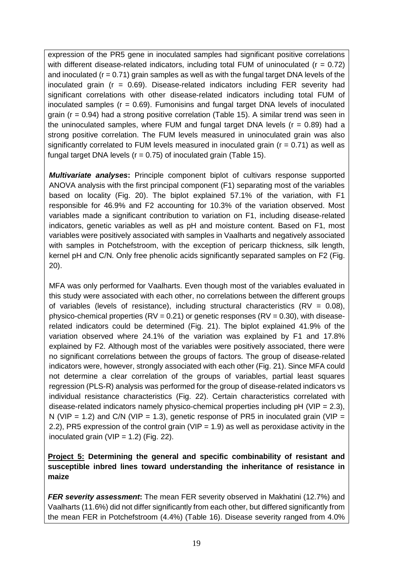expression of the PR5 gene in inoculated samples had significant positive correlations with different disease-related indicators, including total FUM of uninoculated ( $r = 0.72$ ) and inoculated ( $r = 0.71$ ) grain samples as well as with the fungal target DNA levels of the inoculated grain (r = 0.69). Disease-related indicators including FER severity had significant correlations with other disease-related indicators including total FUM of inoculated samples  $(r = 0.69)$ . Fumonisins and fungal target DNA levels of inoculated grain (r = 0.94) had a strong positive correlation (Table 15). A similar trend was seen in the uninoculated samples, where FUM and fungal target DNA levels  $(r = 0.89)$  had a strong positive correlation. The FUM levels measured in uninoculated grain was also significantly correlated to FUM levels measured in inoculated grain ( $r = 0.71$ ) as well as fungal target DNA levels ( $r = 0.75$ ) of inoculated grain (Table 15).

*Multivariate analyses***:** Principle component biplot of cultivars response supported ANOVA analysis with the first principal component (F1) separating most of the variables based on locality (Fig. 20). The biplot explained 57.1% of the variation, with F1 responsible for 46.9% and F2 accounting for 10.3% of the variation observed. Most variables made a significant contribution to variation on F1, including disease-related indicators, genetic variables as well as pH and moisture content. Based on F1, most variables were positively associated with samples in Vaalharts and negatively associated with samples in Potchefstroom, with the exception of pericarp thickness, silk length, kernel pH and C/N. Only free phenolic acids significantly separated samples on F2 (Fig. 20).

MFA was only performed for Vaalharts. Even though most of the variables evaluated in this study were associated with each other, no correlations between the different groups of variables (levels of resistance), including structural characteristics  $(RV = 0.08)$ , physico-chemical properties  $(RV = 0.21)$  or genetic responses  $(RV = 0.30)$ , with diseaserelated indicators could be determined (Fig. 21). The biplot explained 41.9% of the variation observed where 24.1% of the variation was explained by F1 and 17.8% explained by F2. Although most of the variables were positively associated, there were no significant correlations between the groups of factors. The group of disease-related indicators were, however, strongly associated with each other (Fig. 21). Since MFA could not determine a clear correlation of the groups of variables, partial least squares regression (PLS-R) analysis was performed for the group of disease-related indicators vs individual resistance characteristics (Fig. 22). Certain characteristics correlated with disease-related indicators namely physico-chemical properties including  $pH (VIP = 2.3)$ , N (VIP = 1.2) and C/N (VIP = 1.3), genetic response of PR5 in inoculated grain (VIP = 2.2), PR5 expression of the control grain (VIP = 1.9) as well as peroxidase activity in the inoculated grain (VIP =  $1.2$ ) (Fig. 22).

#### **Project 5: Determining the general and specific combinability of resistant and susceptible inbred lines toward understanding the inheritance of resistance in maize**

*FER severity assessment***:** The mean FER severity observed in Makhatini (12.7%) and Vaalharts (11.6%) did not differ significantly from each other, but differed significantly from the mean FER in Potchefstroom (4.4%) (Table 16). Disease severity ranged from 4.0%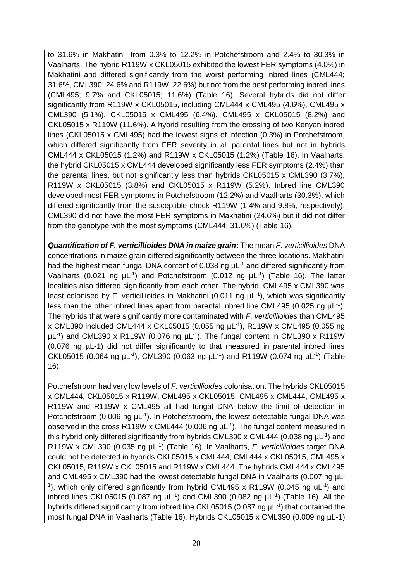to 31.6% in Makhatini, from 0.3% to 12.2% in Potchefstroom and 2.4% to 30.3% in Vaalharts. The hybrid R119W x CKL05015 exhibited the lowest FER symptoms (4.0%) in Makhatini and differed significantly from the worst performing inbred lines (CML444; 31.6%, CML390; 24.6% and R119W, 22.6%) but not from the best performing inbred lines (CML495; 9.7% and CKL05015; 11.6%) (Table 16). Several hybrids did not differ significantly from R119W x CKL05015, including CML444 x CML495 (4.6%), CML495 x CML390 (5.1%), CKL05015 x CML495 (6.4%), CML495 x CKL05015 (8.2%) and CKL05015 x R119W (11.6%). A hybrid resulting from the crossing of two Kenyan inbred lines (CKL05015 x CML495) had the lowest signs of infection (0.3%) in Potchefstroom, which differed significantly from FER severity in all parental lines but not in hybrids CML444 x CKL05015 (1.2%) and R119W x CKL05015 (1.2%) (Table 16). In Vaalharts, the hybrid CKL05015 x CML444 developed significantly less FER symptoms (2.4%) than the parental lines, but not significantly less than hybrids CKL05015 x CML390 (3.7%), R119W x CKL05015 (3.8%) and CKL05015 x R119W (5.2%). Inbred line CML390 developed most FER symptoms in Potchefstroom (12.2%) and Vaalharts (30.3%), which differed significantly from the susceptible check R119W (1.4% and 9.8%, respectively). CML390 did not have the most FER symptoms in Makhatini (24.6%) but it did not differ from the genotype with the most symptoms (CML444; 31.6%) (Table 16).

*Quantification of F. verticillioides DNA in maize grain***:** The mean *F. verticillioides* DNA concentrations in maize grain differed significantly between the three locations. Makhatini had the highest mean fungal DNA content of 0.038 ng  $\mu L^{-1}$  and differed significantly from Vaalharts (0.021 ng  $\mu$ L<sup>-1</sup>) and Potchefstroom (0.012 ng  $\mu$ L<sup>-1</sup>) (Table 16). The latter localities also differed significantly from each other. The hybrid, CML495 x CML390 was least colonised by F. verticillioides in Makhatini (0.011 ng  $\mu$ L<sup>-1</sup>), which was significantly less than the other inbred lines apart from parental inbred line CML495 (0.025 ng  $\mu$ L<sup>-1</sup>). The hybrids that were significantly more contaminated with *F. verticillioides* than CML495 x CML390 included CML444 x CKL05015 (0.055 ng µL-1 ), R119W x CML495 (0.055 ng  $\mu$ L<sup>-1</sup>) and CML390 x R119W (0.076 ng  $\mu$ L<sup>-1</sup>). The fungal content in CML390 x R119W (0.076 ng µL-1) did not differ significantly to that measured in parental inbred lines CKL05015 (0.064 ng  $\mu$ L<sup>-1</sup>), CML390 (0.063 ng  $\mu$ L<sup>-1</sup>) and R119W (0.074 ng  $\mu$ L<sup>-1</sup>) (Table 16).

Potchefstroom had very low levels of *F. verticillioides* colonisation. The hybrids CKL05015 x CML444, CKL05015 x R119W, CML495 x CKL05015, CML495 x CML444, CML495 x R119W and R119W x CML495 all had fungal DNA below the limit of detection in Potchefstroom (0.006 ng  $\mu$ L<sup>-1</sup>). In Potchefstroom, the lowest detectable fungal DNA was observed in the cross R119W x CML444 (0.006 ng  $\mu$ L<sup>-1</sup>). The fungal content measured in this hybrid only differed significantly from hybrids CML390 x CML444 (0.038 ng  $\mu$ L<sup>-1</sup>) and R119W x CML390 (0.035 ng µL<sup>-1</sup>) (Table 16). In Vaalharts, *F. verticillioides* target DNA could not be detected in hybrids CKL05015 x CML444, CML444 x CKL05015, CML495 x CKL05015, R119W x CKL05015 and R119W x CML444. The hybrids CML444 x CML495 and CML495 x CML390 had the lowest detectable fungal DNA in Vaalharts (0.007 ng µL-<sup>1</sup>), which only differed significantly from hybrid CML495 x R119W (0.045 ng uL<sup>-1</sup>) and inbred lines CKL05015 (0.087 ng  $\mu$ L<sup>-1</sup>) and CML390 (0.082 ng  $\mu$ L<sup>-1</sup>) (Table 16). All the hybrids differed significantly from inbred line CKL05015 (0.087 ng  $\mu$ L<sup>-1</sup>) that contained the most fungal DNA in Vaalharts (Table 16). Hybrids CKL05015 x CML390 (0.009 ng µL-1)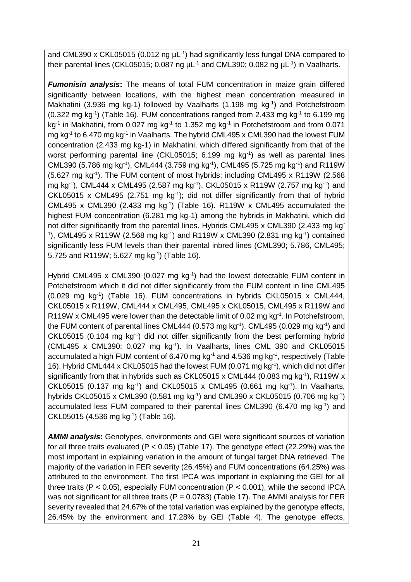and CML390 x CKL05015 (0.012 ng  $\mu$ L<sup>-1</sup>) had significantly less fungal DNA compared to their parental lines (CKL05015; 0.087 ng  $\mu$ L<sup>-1</sup> and CML390; 0.082 ng  $\mu$ L<sup>-1</sup>) in Vaalharts.

*Fumonisin analysis***:** The means of total FUM concentration in maize grain differed significantly between locations, with the highest mean concentration measured in Makhatini (3.936 mg kg-1) followed by Vaalharts (1.198 mg kg<sup>-1</sup>) and Potchefstroom  $(0.322 \text{ mg kg}^{-1})$  (Table 16). FUM concentrations ranged from 2.433 mg kg<sup>-1</sup> to 6.199 mg kg<sup>-1</sup> in Makhatini, from 0.027 mg kg<sup>-1</sup> to 1.352 mg kg<sup>-1</sup> in Potchefstroom and from 0.071 mg kg<sup>-1</sup> to 6.470 mg kg<sup>-1</sup> in Vaalharts. The hybrid CML495 x CML390 had the lowest FUM concentration (2.433 mg kg-1) in Makhatini, which differed significantly from that of the worst performing parental line (CKL05015;  $6.199$  mg  $kg^{-1}$ ) as well as parental lines CML390 (5.786 mg kg<sup>-1</sup>), CML444 (3.759 mg kg<sup>-1</sup>), CML495 (5.725 mg kg<sup>-1</sup>) and R119W (5.627 mg kg-1 ). The FUM content of most hybrids; including CML495 x R119W (2.568 mg kg-1 ), CML444 x CML495 (2.587 mg kg-1 ), CKL05015 x R119W (2.757 mg kg-1 ) and CKL05015 x CML495 (2.751 mg  $kg^{-1}$ ); did not differ significantly from that of hybrid CML495 x CML390 (2.433 mg kg<sup>-1</sup>) (Table 16). R119W x CML495 accumulated the highest FUM concentration (6.281 mg kg-1) among the hybrids in Makhatini, which did not differ significantly from the parental lines. Hybrids CML495 x CML390 (2.433 mg kg-<sup>1</sup>), CML495 x R119W (2.568 mg kg<sup>-1</sup>) and R119W x CML390 (2.831 mg kg<sup>-1</sup>) contained significantly less FUM levels than their parental inbred lines (CML390; 5.786, CML495; 5.725 and R119W; 5.627 mg kg<sup>-1</sup>) (Table 16).

Hybrid CML495 x CML390 (0.027 mg kg<sup>-1</sup>) had the lowest detectable FUM content in Potchefstroom which it did not differ significantly from the FUM content in line CML495 (0.029 mg kg-1 ) (Table 16). FUM concentrations in hybrids CKL05015 x CML444, CKL05015 x R119W, CML444 x CML495, CML495 x CKL05015, CML495 x R119W and R119W x CML495 were lower than the detectable limit of 0.02 mg kg<sup>-1</sup>. In Potchefstroom, the FUM content of parental lines CML444 (0.573 mg kg $^{-1}$ ), CML495 (0.029 mg kg $^{-1}$ ) and CKL05015 (0.104 mg kg<sup>-1</sup>) did not differ significantly from the best performing hybrid (CML495 x CML390; 0.027 mg kg-1 ). In Vaalharts, lines CML 390 and CKL05015 accumulated a high FUM content of 6.470 mg  $kg<sup>-1</sup>$  and 4.536 mg  $kg<sup>-1</sup>$ , respectively (Table 16). Hybrid CML444 x CKL05015 had the lowest FUM (0.071 mg kg-1 ), which did not differ significantly from that in hybrids such as CKL05015 x CML444 (0.083 mg kg<sup>-1</sup>), R119W x CKL05015 (0.137 mg kg<sup>-1</sup>) and CKL05015 x CML495 (0.661 mg kg<sup>-1</sup>). In Vaalharts, hybrids CKL05015 x CML390 (0.581 mg kg<sup>-1</sup>) and CML390 x CKL05015 (0.706 mg kg<sup>-1</sup>) accumulated less FUM compared to their parental lines CML390 (6.470 mg kg<sup>-1</sup>) and CKL05015 (4.536 mg kg<sup>-1</sup>) (Table 16).

*AMMI analysis***:** Genotypes, environments and GEI were significant sources of variation for all three traits evaluated ( $P < 0.05$ ) (Table 17). The genotype effect (22.29%) was the most important in explaining variation in the amount of fungal target DNA retrieved. The majority of the variation in FER severity (26.45%) and FUM concentrations (64.25%) was attributed to the environment. The first IPCA was important in explaining the GEI for all three traits ( $P < 0.05$ ), especially FUM concentration ( $P < 0.001$ ), while the second IPCA was not significant for all three traits ( $P = 0.0783$ ) (Table 17). The AMMI analysis for FER severity revealed that 24.67% of the total variation was explained by the genotype effects, 26.45% by the environment and 17.28% by GEI (Table 4). The genotype effects,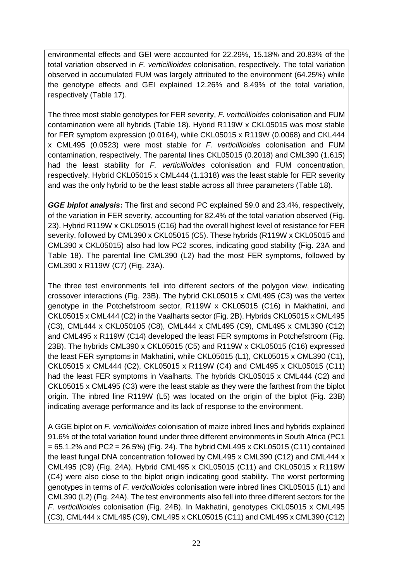environmental effects and GEI were accounted for 22.29%, 15.18% and 20.83% of the total variation observed in *F. verticillioides* colonisation, respectively. The total variation observed in accumulated FUM was largely attributed to the environment (64.25%) while the genotype effects and GEI explained 12.26% and 8.49% of the total variation, respectively (Table 17).

The three most stable genotypes for FER severity, *F. verticillioides* colonisation and FUM contamination were all hybrids (Table 18). Hybrid R119W x CKL05015 was most stable for FER symptom expression (0.0164), while CKL05015 x R119W (0.0068) and CKL444 x CML495 (0.0523) were most stable for *F. verticillioides* colonisation and FUM contamination, respectively. The parental lines CKL05015 (0.2018) and CML390 (1.615) had the least stability for *F. verticillioides* colonisation and FUM concentration, respectively. Hybrid CKL05015 x CML444 (1.1318) was the least stable for FER severity and was the only hybrid to be the least stable across all three parameters (Table 18).

*GGE biplot analysis***:** The first and second PC explained 59.0 and 23.4%, respectively, of the variation in FER severity, accounting for 82.4% of the total variation observed (Fig. 23). Hybrid R119W x CKL05015 (C16) had the overall highest level of resistance for FER severity, followed by CML390 x CKL05015 (C5). These hybrids (R119W x CKL05015 and CML390 x CKL05015) also had low PC2 scores, indicating good stability (Fig. 23A and Table 18). The parental line CML390 (L2) had the most FER symptoms, followed by CML390 x R119W (C7) (Fig. 23A).

The three test environments fell into different sectors of the polygon view, indicating crossover interactions (Fig. 23B). The hybrid CKL05015 x CML495 (C3) was the vertex genotype in the Potchefstroom sector, R119W x CKL05015 (C16) in Makhatini, and CKL05015 x CML444 (C2) in the Vaalharts sector (Fig. 2B). Hybrids CKL05015 x CML495 (C3), CML444 x CKL050105 (C8), CML444 x CML495 (C9), CML495 x CML390 (C12) and CML495 x R119W (C14) developed the least FER symptoms in Potchefstroom (Fig. 23B). The hybrids CML390 x CKL05015 (C5) and R119W x CKL05015 (C16) expressed the least FER symptoms in Makhatini, while CKL05015 (L1), CKL05015 x CML390 (C1), CKL05015 x CML444 (C2), CKL05015 x R119W (C4) and CML495 x CKL05015 (C11) had the least FER symptoms in Vaalharts. The hybrids CKL05015 x CML444 (C2) and CKL05015 x CML495 (C3) were the least stable as they were the farthest from the biplot origin. The inbred line R119W (L5) was located on the origin of the biplot (Fig. 23B) indicating average performance and its lack of response to the environment.

A GGE biplot on *F. verticillioides* colonisation of maize inbred lines and hybrids explained 91.6% of the total variation found under three different environments in South Africa (PC1  $= 65.1.2\%$  and PC2 = 26.5%) (Fig. 24). The hybrid CML495 x CKL05015 (C11) contained the least fungal DNA concentration followed by CML495 x CML390 (C12) and CML444 x CML495 (C9) (Fig. 24A). Hybrid CML495 x CKL05015 (C11) and CKL05015 x R119W (C4) were also close to the biplot origin indicating good stability. The worst performing genotypes in terms of *F. verticillioides* colonisation were inbred lines CKL05015 (L1) and CML390 (L2) (Fig. 24A). The test environments also fell into three different sectors for the *F. verticillioides* colonisation (Fig. 24B). In Makhatini, genotypes CKL05015 x CML495 (C3), CML444 x CML495 (C9), CML495 x CKL05015 (C11) and CML495 x CML390 (C12)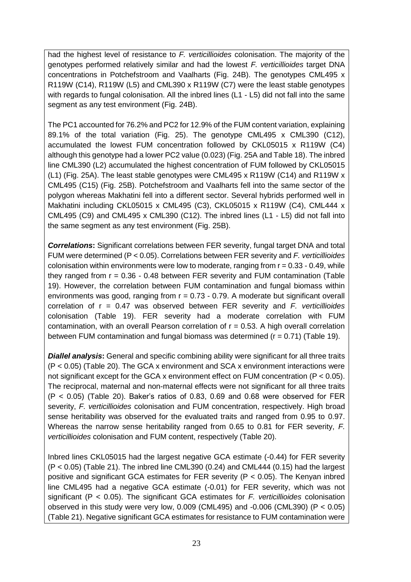had the highest level of resistance to *F. verticillioides* colonisation. The majority of the genotypes performed relatively similar and had the lowest *F. verticillioides* target DNA concentrations in Potchefstroom and Vaalharts (Fig. 24B). The genotypes CML495 x R119W (C14), R119W (L5) and CML390 x R119W (C7) were the least stable genotypes with regards to fungal colonisation. All the inbred lines (L1 - L5) did not fall into the same segment as any test environment (Fig. 24B).

The PC1 accounted for 76.2% and PC2 for 12.9% of the FUM content variation, explaining 89.1% of the total variation (Fig. 25). The genotype CML495 x CML390 (C12), accumulated the lowest FUM concentration followed by CKL05015 x R119W (C4) although this genotype had a lower PC2 value (0.023) (Fig. 25A and Table 18). The inbred line CML390 (L2) accumulated the highest concentration of FUM followed by CKL05015 (L1) (Fig. 25A). The least stable genotypes were CML495 x R119W (C14) and R119W x CML495 (C15) (Fig. 25B). Potchefstroom and Vaalharts fell into the same sector of the polygon whereas Makhatini fell into a different sector. Several hybrids performed well in Makhatini including CKL05015 x CML495 (C3), CKL05015 x R119W (C4), CML444 x CML495 (C9) and CML495 x CML390 (C12). The inbred lines (L1 - L5) did not fall into the same segment as any test environment (Fig. 25B).

*Correlations***:** Significant correlations between FER severity, fungal target DNA and total FUM were determined (P < 0.05). Correlations between FER severity and *F. verticillioides*  colonisation within environments were low to moderate, ranging from  $r = 0.33 - 0.49$ , while they ranged from  $r = 0.36 - 0.48$  between FER severity and FUM contamination (Table 19). However, the correlation between FUM contamination and fungal biomass within environments was good, ranging from  $r = 0.73 - 0.79$ . A moderate but significant overall correlation of r = 0.47 was observed between FER severity and *F. verticillioides* colonisation (Table 19). FER severity had a moderate correlation with FUM contamination, with an overall Pearson correlation of  $r = 0.53$ . A high overall correlation between FUM contamination and fungal biomass was determined  $(r = 0.71)$  (Table 19).

*Diallel analysis***:** General and specific combining ability were significant for all three traits (P < 0.05) (Table 20). The GCA x environment and SCA x environment interactions were not significant except for the GCA x environment effect on FUM concentration ( $P < 0.05$ ). The reciprocal, maternal and non-maternal effects were not significant for all three traits  $(P < 0.05)$  (Table 20). Baker's ratios of 0.83, 0.69 and 0.68 were observed for FER severity, *F. verticillioides* colonisation and FUM concentration, respectively. High broad sense heritability was observed for the evaluated traits and ranged from 0.95 to 0.97. Whereas the narrow sense heritability ranged from 0.65 to 0.81 for FER severity, *F. verticillioides* colonisation and FUM content, respectively (Table 20).

Inbred lines CKL05015 had the largest negative GCA estimate (-0.44) for FER severity (P < 0.05) (Table 21). The inbred line CML390 (0.24) and CML444 (0.15) had the largest positive and significant GCA estimates for FER severity ( $P < 0.05$ ). The Kenyan inbred line CML495 had a negative GCA estimate (-0.01) for FER severity, which was not significant (P < 0.05). The significant GCA estimates for *F. verticillioides* colonisation observed in this study were very low, 0.009 (CML495) and -0.006 (CML390) (P < 0.05) (Table 21). Negative significant GCA estimates for resistance to FUM contamination were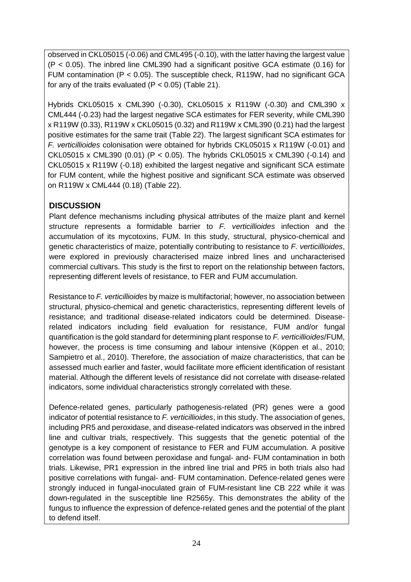observed in CKL05015 (-0.06) and CML495 (-0.10), with the latter having the largest value (P < 0.05). The inbred line CML390 had a significant positive GCA estimate (0.16) for FUM contamination ( $P < 0.05$ ). The susceptible check, R119W, had no significant GCA for any of the traits evaluated ( $P < 0.05$ ) (Table 21).

Hybrids CKL05015 x CML390 (-0.30), CKL05015 x R119W (-0.30) and CML390 x CML444 (-0.23) had the largest negative SCA estimates for FER severity, while CML390 x R119W (0.33), R119W x CKL05015 (0.32) and R119W x CML390 (0.21) had the largest positive estimates for the same trait (Table 22). The largest significant SCA estimates for *F. verticillioides* colonisation were obtained for hybrids CKL05015 x R119W (-0.01) and CKL05015 x CML390 (0.01) (P < 0.05). The hybrids CKL05015 x CML390 (-0.14) and CKL05015 x R119W (-0.18) exhibited the largest negative and significant SCA estimate for FUM content, while the highest positive and significant SCA estimate was observed on R119W x CML444 (0.18) (Table 22).

# **DISCUSSION**

Plant defence mechanisms including physical attributes of the maize plant and kernel structure represents a formidable barrier to *F. verticillioides* infection and the accumulation of its mycotoxins, FUM. In this study, structural, physico-chemical and genetic characteristics of maize, potentially contributing to resistance to *F. verticillioides*, were explored in previously characterised maize inbred lines and uncharacterised commercial cultivars. This study is the first to report on the relationship between factors, representing different levels of resistance, to FER and FUM accumulation.

Resistance to *F. verticillioides* by maize is multifactorial; however, no association between structural, physico-chemical and genetic characteristics, representing different levels of resistance; and traditional disease-related indicators could be determined. Diseaserelated indicators including field evaluation for resistance, FUM and/or fungal quantification is the gold standard for determining plant response to *F. verticillioides*/FUM, however, the process is time consuming and labour intensive (Köppen et al., 2010; Sampietro et al., 2010). Therefore, the association of maize characteristics, that can be assessed much earlier and faster, would facilitate more efficient identification of resistant material. Although the different levels of resistance did not correlate with disease-related indicators, some individual characteristics strongly correlated with these.

Defence-related genes, particularly pathogenesis-related (PR) genes were a good indicator of potential resistance to *F. verticillioides*, in this study. The association of genes, including PR5 and peroxidase, and disease-related indicators was observed in the inbred line and cultivar trials, respectively. This suggests that the genetic potential of the genotype is a key component of resistance to FER and FUM accumulation. A positive correlation was found between peroxidase and fungal- and- FUM contamination in both trials. Likewise, PR1 expression in the inbred line trial and PR5 in both trials also had positive correlations with fungal- and- FUM contamination. Defence-related genes were strongly induced in fungal-inoculated grain of FUM-resistant line CB 222 while it was down-regulated in the susceptible line R2565y. This demonstrates the ability of the fungus to influence the expression of defence-related genes and the potential of the plant to defend itself.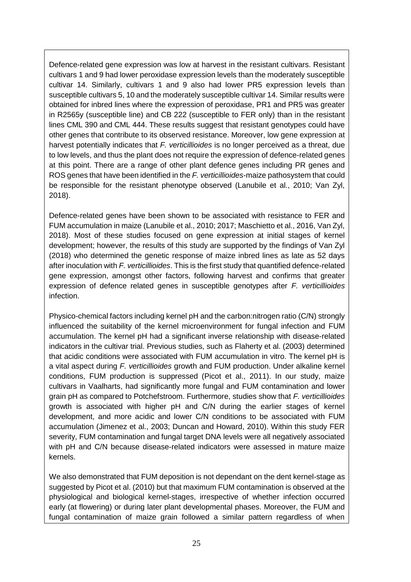Defence-related gene expression was low at harvest in the resistant cultivars. Resistant cultivars 1 and 9 had lower peroxidase expression levels than the moderately susceptible cultivar 14. Similarly, cultivars 1 and 9 also had lower PR5 expression levels than susceptible cultivars 5, 10 and the moderately susceptible cultivar 14. Similar results were obtained for inbred lines where the expression of peroxidase, PR1 and PR5 was greater in R2565y (susceptible line) and CB 222 (susceptible to FER only) than in the resistant lines CML 390 and CML 444. These results suggest that resistant genotypes could have other genes that contribute to its observed resistance. Moreover, low gene expression at harvest potentially indicates that *F. verticillioides* is no longer perceived as a threat, due to low levels, and thus the plant does not require the expression of defence-related genes at this point. There are a range of other plant defence genes including PR genes and ROS genes that have been identified in the *F. verticillioides*-maize pathosystem that could be responsible for the resistant phenotype observed (Lanubile et al., 2010; Van Zyl, 2018).

Defence-related genes have been shown to be associated with resistance to FER and FUM accumulation in maize (Lanubile et al., 2010; 2017; Maschietto et al., 2016, Van Zyl, 2018). Most of these studies focused on gene expression at initial stages of kernel development; however, the results of this study are supported by the findings of Van Zyl (2018) who determined the genetic response of maize inbred lines as late as 52 days after inoculation with *F. verticillioides*. This is the first study that quantified defence-related gene expression, amongst other factors, following harvest and confirms that greater expression of defence related genes in susceptible genotypes after *F. verticillioides* infection.

Physico-chemical factors including kernel pH and the carbon:nitrogen ratio (C/N) strongly influenced the suitability of the kernel microenvironment for fungal infection and FUM accumulation. The kernel pH had a significant inverse relationship with disease-related indicators in the cultivar trial. Previous studies, such as Flaherty et al. (2003) determined that acidic conditions were associated with FUM accumulation in vitro. The kernel pH is a vital aspect during *F. verticillioides* growth and FUM production. Under alkaline kernel conditions, FUM production is suppressed (Picot et al., 2011). In our study, maize cultivars in Vaalharts, had significantly more fungal and FUM contamination and lower grain pH as compared to Potchefstroom. Furthermore, studies show that *F. verticillioides* growth is associated with higher pH and C/N during the earlier stages of kernel development, and more acidic and lower C/N conditions to be associated with FUM accumulation (Jimenez et al., 2003; Duncan and Howard, 2010). Within this study FER severity, FUM contamination and fungal target DNA levels were all negatively associated with pH and C/N because disease-related indicators were assessed in mature maize kernels.

We also demonstrated that FUM deposition is not dependant on the dent kernel-stage as suggested by Picot et al. (2010) but that maximum FUM contamination is observed at the physiological and biological kernel-stages, irrespective of whether infection occurred early (at flowering) or during later plant developmental phases. Moreover, the FUM and fungal contamination of maize grain followed a similar pattern regardless of when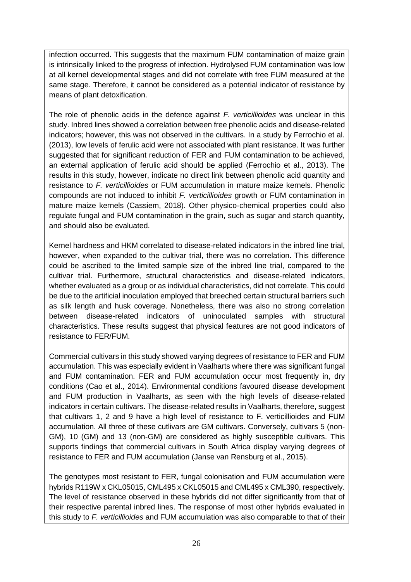infection occurred. This suggests that the maximum FUM contamination of maize grain is intrinsically linked to the progress of infection. Hydrolysed FUM contamination was low at all kernel developmental stages and did not correlate with free FUM measured at the same stage. Therefore, it cannot be considered as a potential indicator of resistance by means of plant detoxification.

The role of phenolic acids in the defence against *F. verticillioides* was unclear in this study. Inbred lines showed a correlation between free phenolic acids and disease-related indicators; however, this was not observed in the cultivars. In a study by Ferrochio et al. (2013), low levels of ferulic acid were not associated with plant resistance. It was further suggested that for significant reduction of FER and FUM contamination to be achieved, an external application of ferulic acid should be applied (Ferrochio et al., 2013). The results in this study, however, indicate no direct link between phenolic acid quantity and resistance to *F. verticillioides* or FUM accumulation in mature maize kernels. Phenolic compounds are not induced to inhibit *F. verticillioides* growth or FUM contamination in mature maize kernels (Cassiem, 2018). Other physico-chemical properties could also regulate fungal and FUM contamination in the grain, such as sugar and starch quantity, and should also be evaluated.

Kernel hardness and HKM correlated to disease-related indicators in the inbred line trial, however, when expanded to the cultivar trial, there was no correlation. This difference could be ascribed to the limited sample size of the inbred line trial, compared to the cultivar trial. Furthermore, structural characteristics and disease-related indicators, whether evaluated as a group or as individual characteristics, did not correlate. This could be due to the artificial inoculation employed that breeched certain structural barriers such as silk length and husk coverage. Nonetheless, there was also no strong correlation between disease-related indicators of uninoculated samples with structural characteristics. These results suggest that physical features are not good indicators of resistance to FER/FUM.

Commercial cultivars in this study showed varying degrees of resistance to FER and FUM accumulation. This was especially evident in Vaalharts where there was significant fungal and FUM contamination. FER and FUM accumulation occur most frequently in, dry conditions (Cao et al., 2014). Environmental conditions favoured disease development and FUM production in Vaalharts, as seen with the high levels of disease-related indicators in certain cultivars. The disease-related results in Vaalharts, therefore, suggest that cultivars 1, 2 and 9 have a high level of resistance to F. verticillioides and FUM accumulation. All three of these cutlivars are GM cultivars. Conversely, cultivars 5 (non-GM), 10 (GM) and 13 (non-GM) are considered as highly susceptible cultivars. This supports findings that commercial cultivars in South Africa display varying degrees of resistance to FER and FUM accumulation (Janse van Rensburg et al., 2015).

The genotypes most resistant to FER, fungal colonisation and FUM accumulation were hybrids R119W x CKL05015, CML495 x CKL05015 and CML495 x CML390, respectively. The level of resistance observed in these hybrids did not differ significantly from that of their respective parental inbred lines. The response of most other hybrids evaluated in this study to *F. verticillioides* and FUM accumulation was also comparable to that of their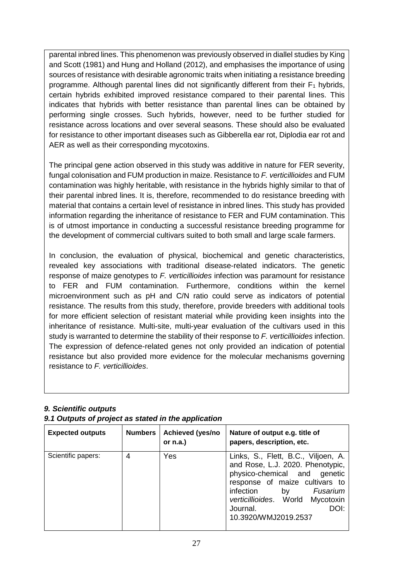parental inbred lines. This phenomenon was previously observed in diallel studies by King and Scott (1981) and Hung and Holland (2012), and emphasises the importance of using sources of resistance with desirable agronomic traits when initiating a resistance breeding programme. Although parental lines did not significantly different from their  $F_1$  hybrids, certain hybrids exhibited improved resistance compared to their parental lines. This indicates that hybrids with better resistance than parental lines can be obtained by performing single crosses. Such hybrids, however, need to be further studied for resistance across locations and over several seasons. These should also be evaluated for resistance to other important diseases such as Gibberella ear rot, Diplodia ear rot and AER as well as their corresponding mycotoxins.

The principal gene action observed in this study was additive in nature for FER severity, fungal colonisation and FUM production in maize. Resistance to *F. verticillioides* and FUM contamination was highly heritable, with resistance in the hybrids highly similar to that of their parental inbred lines. It is, therefore, recommended to do resistance breeding with material that contains a certain level of resistance in inbred lines. This study has provided information regarding the inheritance of resistance to FER and FUM contamination. This is of utmost importance in conducting a successful resistance breeding programme for the development of commercial cultivars suited to both small and large scale farmers.

In conclusion, the evaluation of physical, biochemical and genetic characteristics, revealed key associations with traditional disease-related indicators. The genetic response of maize genotypes to *F. verticillioides* infection was paramount for resistance to FER and FUM contamination. Furthermore, conditions within the kernel microenvironment such as pH and C/N ratio could serve as indicators of potential resistance. The results from this study, therefore, provide breeders with additional tools for more efficient selection of resistant material while providing keen insights into the inheritance of resistance. Multi-site, multi-year evaluation of the cultivars used in this study is warranted to determine the stability of their response to *F. verticillioides* infection. The expression of defence-related genes not only provided an indication of potential resistance but also provided more evidence for the molecular mechanisms governing resistance to *F. verticillioides*.

#### *9. Scientific outputs*

#### *9.1 Outputs of project as stated in the application*

| <b>Expected outputs</b> | <b>Numbers</b> | Achieved (yes/no<br>or $n.a.$ ) | Nature of output e.g. title of<br>papers, description, etc.                                                                                                                                                                                                    |
|-------------------------|----------------|---------------------------------|----------------------------------------------------------------------------------------------------------------------------------------------------------------------------------------------------------------------------------------------------------------|
| Scientific papers:      | 4              | Yes                             | Links, S., Flett, B.C., Viljoen, A.<br>and Rose, L.J. 2020. Phenotypic,<br>physico-chemical and<br>genetic<br>response of maize cultivars to<br>infection<br>Fusarium<br>by<br>verticillioides. World<br>Mycotoxin<br>DOI:<br>Journal.<br>10.3920/WMJ2019.2537 |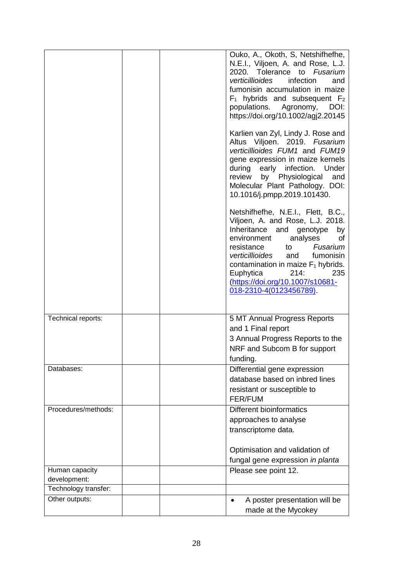|                                      |  | Ouko, A., Okoth, S, Netshifhefhe,<br>N.E.I., Viljoen, A. and Rose, L.J.<br>2020. Tolerance to Fusarium<br>verticillioides<br>infection<br>and<br>fumonisin accumulation in maize<br>$F_1$ hybrids and subsequent $F_2$<br>populations.<br>Agronomy,<br>DOI:<br>https://doi.org/10.1002/agj2.20145                                                    |
|--------------------------------------|--|------------------------------------------------------------------------------------------------------------------------------------------------------------------------------------------------------------------------------------------------------------------------------------------------------------------------------------------------------|
|                                      |  | Karlien van Zyl, Lindy J. Rose and<br>Altus Viljoen. 2019. Fusarium<br>verticillioides FUM1 and FUM19<br>gene expression in maize kernels<br>during early infection. Under<br>by Physiological<br>and<br>review<br>Molecular Plant Pathology. DOI:<br>10.1016/j.pmpp.2019.101430.                                                                    |
|                                      |  | Netshifhefhe, N.E.I., Flett, B.C.,<br>Viljoen, A. and Rose, L.J. 2018.<br>Inheritance and genotype<br>by<br>environment<br>analyses<br>οf<br>Fusarium<br>resistance<br>to<br>verticillioides<br>fumonisin<br>and<br>contamination in maize $F_1$ hybrids.<br>214:<br>Euphytica<br>235<br>(https://doi.org/10.1007/s10681-<br>018-2310-4(0123456789). |
| Technical reports:                   |  | 5 MT Annual Progress Reports<br>and 1 Final report<br>3 Annual Progress Reports to the<br>NRF and Subcom B for support<br>funding.                                                                                                                                                                                                                   |
| Databases:                           |  | Differential gene expression<br>database based on inbred lines<br>resistant or susceptible to<br><b>FER/FUM</b>                                                                                                                                                                                                                                      |
| Procedures/methods:                  |  | <b>Different bioinformatics</b><br>approaches to analyse<br>transcriptome data.<br>Optimisation and validation of                                                                                                                                                                                                                                    |
|                                      |  | fungal gene expression in planta                                                                                                                                                                                                                                                                                                                     |
| Human capacity                       |  | Please see point 12.                                                                                                                                                                                                                                                                                                                                 |
| development:<br>Technology transfer: |  |                                                                                                                                                                                                                                                                                                                                                      |
| Other outputs:                       |  | A poster presentation will be<br>made at the Mycokey                                                                                                                                                                                                                                                                                                 |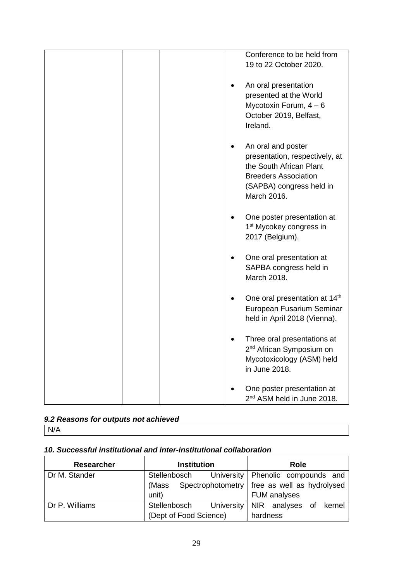|  |  | Conference to be held from<br>19 to 22 October 2020.                                                                                                      |
|--|--|-----------------------------------------------------------------------------------------------------------------------------------------------------------|
|  |  | An oral presentation<br>presented at the World<br>Mycotoxin Forum, $4-6$<br>October 2019, Belfast,<br>Ireland.                                            |
|  |  | An oral and poster<br>presentation, respectively, at<br>the South African Plant<br><b>Breeders Association</b><br>(SAPBA) congress held in<br>March 2016. |
|  |  | One poster presentation at<br>1 <sup>st</sup> Mycokey congress in<br>2017 (Belgium).                                                                      |
|  |  | One oral presentation at<br>SAPBA congress held in<br>March 2018.                                                                                         |
|  |  | One oral presentation at 14th<br>European Fusarium Seminar<br>held in April 2018 (Vienna).                                                                |
|  |  | Three oral presentations at<br>2 <sup>nd</sup> African Symposium on<br>Mycotoxicology (ASM) held<br>in June 2018.                                         |
|  |  | One poster presentation at<br>2 <sup>nd</sup> ASM held in June 2018.                                                                                      |

# *9.2 Reasons for outputs not achieved*

N/A

# *10. Successful institutional and inter-institutional collaboration*

| <b>Researcher</b> | <b>Institution</b>      | Role                                           |
|-------------------|-------------------------|------------------------------------------------|
| Dr M. Stander     | Stellenbosch            | University   Phenolic compounds and            |
|                   | (Mass                   | Spectrophotometry   free as well as hydrolysed |
|                   | unit)                   | <b>FUM analyses</b>                            |
| Dr P. Williams    | Stellenbosch University | NIR analyses of kernel                         |
|                   | (Dept of Food Science)  | hardness                                       |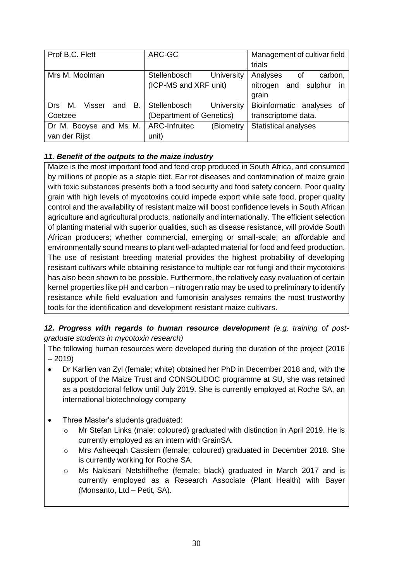| Prof B.C. Flett                        | ARC-GC                     | Management of cultivar field |
|----------------------------------------|----------------------------|------------------------------|
|                                        |                            |                              |
|                                        |                            | trials                       |
| Mrs M. Moolman                         | University<br>Stellenbosch | Analyses<br>carbon,<br>of    |
|                                        | (ICP-MS and XRF unit)      | nitrogen and sulphur<br>in   |
|                                        |                            | grain                        |
| <b>B.</b><br>Drs M.<br>Visser<br>and   | University<br>Stellenbosch | Bioinformatic analyses of    |
| Coetzee                                | (Department of Genetics)   | transcriptome data.          |
| Dr M. Booyse and Ms M.   ARC-Infruitec | (Biometry                  | <b>Statistical analyses</b>  |
| van der Rijst                          | unit)                      |                              |

### *11. Benefit of the outputs to the maize industry*

Maize is the most important food and feed crop produced in South Africa, and consumed by millions of people as a staple diet. Ear rot diseases and contamination of maize grain with toxic substances presents both a food security and food safety concern. Poor quality grain with high levels of mycotoxins could impede export while safe food, proper quality control and the availability of resistant maize will boost confidence levels in South African agriculture and agricultural products, nationally and internationally. The efficient selection of planting material with superior qualities, such as disease resistance, will provide South African producers; whether commercial, emerging or small-scale; an affordable and environmentally sound means to plant well-adapted material for food and feed production. The use of resistant breeding material provides the highest probability of developing resistant cultivars while obtaining resistance to multiple ear rot fungi and their mycotoxins has also been shown to be possible. Furthermore, the relatively easy evaluation of certain kernel properties like pH and carbon – nitrogen ratio may be used to preliminary to identify resistance while field evaluation and fumonisin analyses remains the most trustworthy tools for the identification and development resistant maize cultivars.

#### *12. Progress with regards to human resource development (e.g. training of postgraduate students in mycotoxin research)*

The following human resources were developed during the duration of the project (2016 – 2019)

- Dr Karlien van Zyl (female; white) obtained her PhD in December 2018 and, with the support of the Maize Trust and CONSOLIDOC programme at SU, she was retained as a postdoctoral fellow until July 2019. She is currently employed at Roche SA, an international biotechnology company
- Three Master's students graduated:
	- o Mr Stefan Links (male; coloured) graduated with distinction in April 2019. He is currently employed as an intern with GrainSA.
	- o Mrs Asheeqah Cassiem (female; coloured) graduated in December 2018. She is currently working for Roche SA.
	- o Ms Nakisani Netshifhefhe (female; black) graduated in March 2017 and is currently employed as a Research Associate (Plant Health) with Bayer (Monsanto, Ltd – Petit, SA).